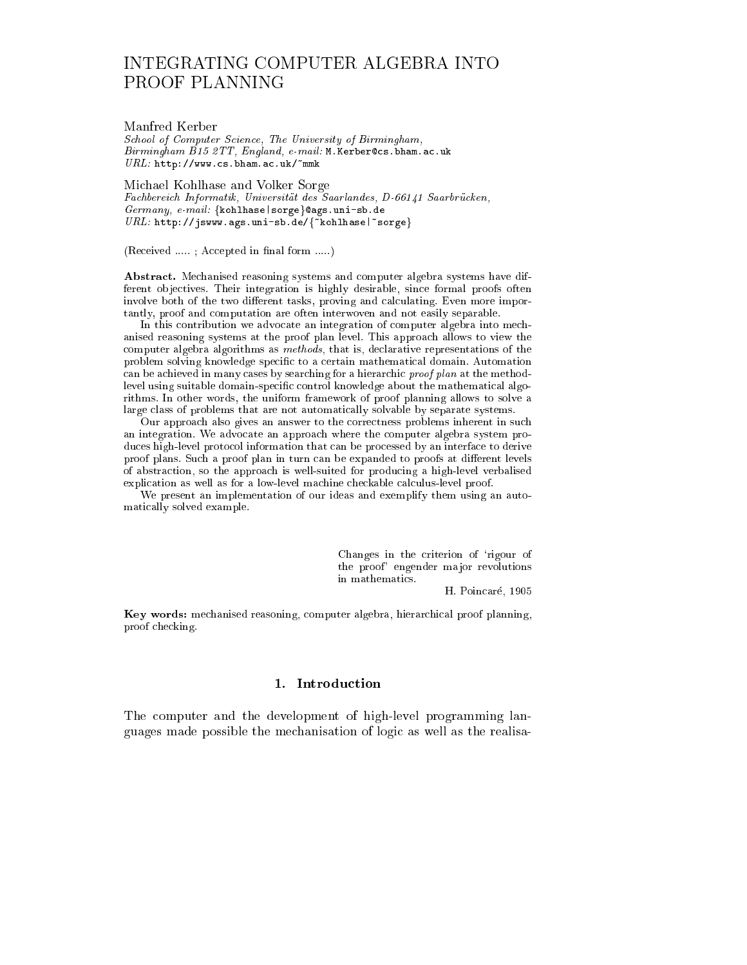# INTEGRATING COMPUTER ALGEBRA INTO PROOF PLANNING

Manfred Kerber

School of Computer Science, The University of Birmingham, Birmingham B15 2TT, England, e-mail: M.Kerber@cs.bham.ac.uk  $URL: \texttt{http://www.cs.bham.ac.uk/~mmk}$ 

Michael Kohlhase and Volker Sorge

Fachbereich Informatik, Universität des Saarlandes, D-66141 Saarbrücken,  $Germany, e-mail:$  {kohlhase sorge}@ags.uni-sb.de  $URL: \texttt{http://jsww.ags.uni-sb.de/f"kohlhase|"sorge}$ 

(Received .....; Accepted in final form .....)

Abstract. Mechanised reasoning systems and computer algebra systems have different ob jectives. Their integration is highly desirable, since formal proofs often involve both of the two different tasks, proving and calculating. Even more importantly, proof and computation are often interwoven and not easily separable.

In this contribution we advocate an integration of computer algebra into mechanised reasoning systems at the proof plan level. This approach allows to view the computer algebra algorithms as methods, that is, declarative representations of the problem solving knowledge specic to a certain mathematical domain. Automation can be achieved in many cases by searching for a hierarchic proof plan at the methodlevel using suitable domain-specic control knowledge about the mathematical algorithms. In other words, the uniform framework of proof planning allows to solve a large class of problems that are not automatically solvable by separate systems.

Our approach also gives an answer to the correctness problems inherent in such an integration. We advocate an approach where the computer algebra system produces high-level protocol information that can be processed by an interface to derive proof plans. Such a proof plan in turn can be expanded to proofs at different levels of abstraction, so the approach is well-suited for producing a high-level verbalised explication as well as for a low-level machine checkable calculus-level proof.

We present an implementation of our ideas and exemplify them using an automatically solved example.

> Changes in the criterion of `rigour of the proof' engender major revolutions in mathematics.

> > H. Poincaré, 1905

Key words: mechanised reasoning, computer algebra, hierarchical proof planning, proof checking.

### 1. Introduction

The computer and the development of high-level programming languages made possible the mechanisation of logic as well as the realisa-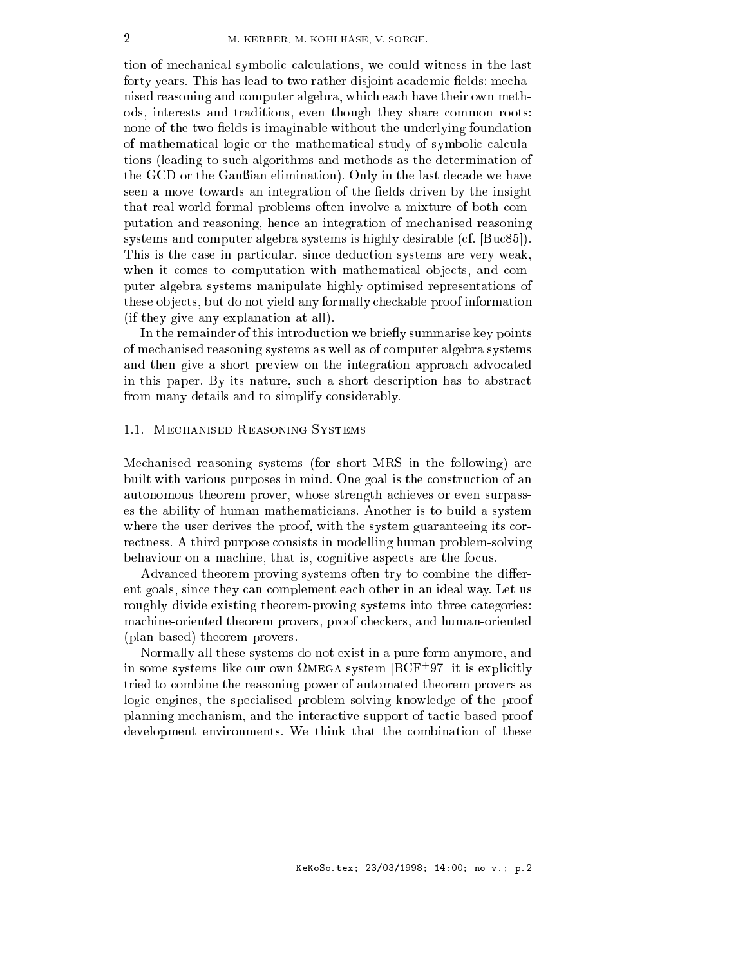tion of mechanical symbolic calculations, we could witness in the last forty years. This has lead to two rather disjoint academic fields: mechanised reasoning and computer algebra, which each have their own methods, interests and traditions, even though they share common roots: none of the two fields is imaginable without the underlying foundation of mathematical logic or the mathematical study of symbolic calculations (leading to such algorithms and methods as the determination of the GCD or the Gaußian elimination). Only in the last decade we have seen a move towards an integration of the fields driven by the insight that real-world formal problems often involve a mixture of both computation and reasoning, hence an integration of mechanised reasoning systems and computer algebra systems is highly desirable (cf. [Buc85]). This is the case in particular, since deduction systems are very weak, when it comes to computation with mathematical objects, and computer algebra systems manipulate highly optimised representations of these ob jects, but do not yield any formally checkable proof information (if they give any explanation at all).

In the remainder of this introduction we briefly summarise key points of mechanised reasoning systems as well as of computer algebra systems and then give a short preview on the integration approach advocated in this paper. By its nature, such a short description has to abstract from many details and to simplify considerably.

### 1.1. Mechanised Reasoning Systems

Mechanised reasoning systems (for short MRS in the following) are built with various purposes in mind. One goal is the construction of an autonomous theorem prover, whose strength achieves or even surpasses the ability of human mathematicians. Another is to build a system where the user derives the proof, with the system guaranteeing its correctness. A third purpose consists in modelling human problem-solving behaviour on a machine, that is, cognitive aspects are the focus.

Advanced theorem proving systems often try to combine the different goals, since they can complement each other in an ideal way. Let us roughly divide existing theorem-proving systems into three categories: machine-oriented theorem provers, proof checkers, and human-oriented (plan-based) theorem provers.

Normally all these systems do not exist in a pure form anymore, and in some systems like our own  $\Omega$ MEGA system [BCF<sup>+</sup>97] it is explicitly tried to combine the reasoning power of automated theorem provers as logic engines, the specialised problem solving knowledge of the proof planning mechanism, and the interactive support of tactic-based proof development environments. We think that the combination of these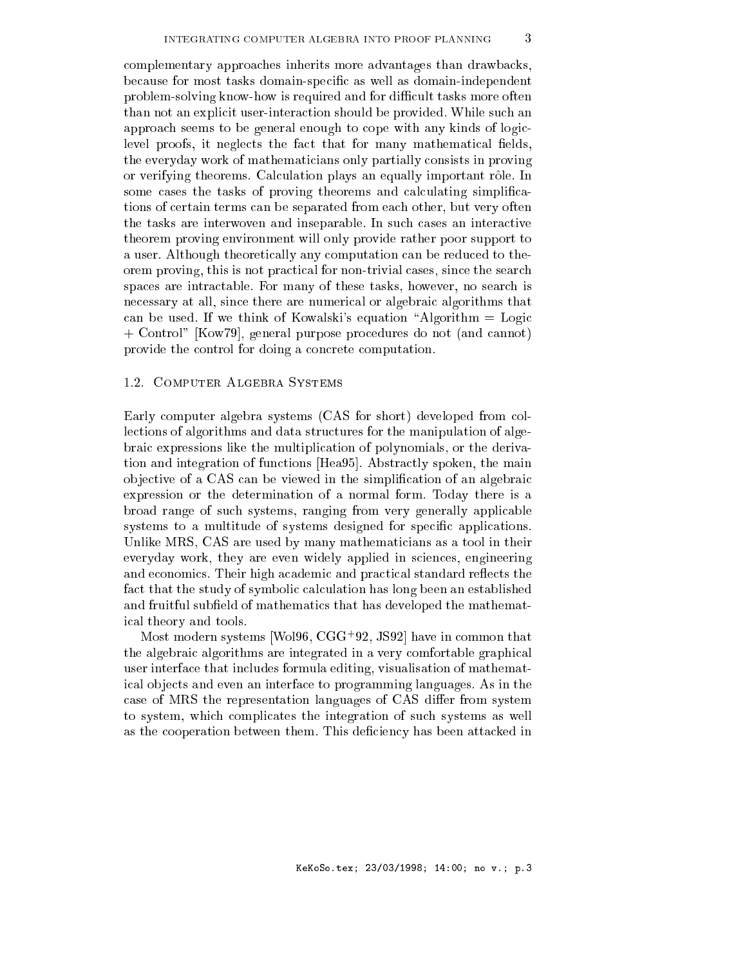complementary approaches inherits more advantages than drawbacks, because for most tasks domain-specic as well as domain-independent problem-solving know-how is required and for difficult tasks more often than not an explicit user-interaction should be provided. While such an approach seems to be general enough to cope with any kinds of logiclevel proofs, it neglects the fact that for many mathematical fields, the everyday work of mathematicians only partially consists in proving or verifying theorems. Calculation plays an equally important r^ole. In some cases the tasks of proving theorems and calculating simplications of certain terms can be separated from each other, but very often the tasks are interwoven and inseparable. In such cases an interactive theorem proving environment will only provide rather poor support to a user. Although theoretically any computation can be reduced to theorem proving, this is not practical for non-trivial cases, since the search spaces are intractable. For many of these tasks, however, no search is necessary at all, since there are numerical or algebraic algorithms that can be used. If we think of Kowalski's equation "Algorithm  $=$  Logic + Control" [Kow79], general purpose procedures do not (and cannot) provide the control for doing a concrete computation.

#### 1.2. Computer Algebra Systems

Early computer algebra systems (CAS for short) developed from collections of algorithms and data structures for the manipulation of algebraic expressions like the multiplication of polynomials, or the derivation and integration of functions [Hea95]. Abstractly spoken, the main ob jective of a CAS can be viewed in the simplication of an algebraic expression or the determination of a normal form. Today there is a broad range of such systems, ranging from very generally applicable systems to a multitude of systems designed for specific applications. Unlike MRS, CAS are used by many mathematicians as a tool in their everyday work, they are even widely applied in sciences, engineering and economics. Their high academic and practical standard reflects the fact that the study of symbolic calculation has long been an established and fruitful subfield of mathematics that has developed the mathematical theory and tools.

Most modern systems [Wol96, CGG<sup>+</sup>92, JS92] have in common that the algebraic algorithms are integrated in a very comfortable graphical user interface that includes formula editing, visualisation of mathematical objects and even an interface to programming languages. As in the case of MRS the representation languages of CAS differ from system to system, which complicates the integration of such systems as well as the cooperation between them. This deficiency has been attacked in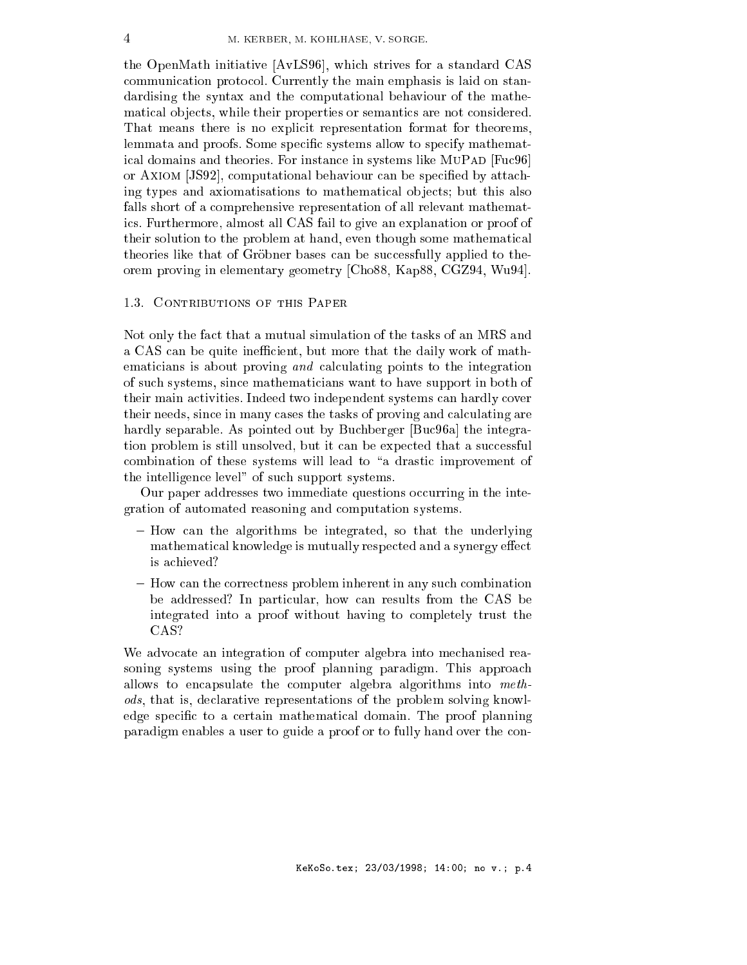the OpenMath initiative [AvLS96], which strives for a standard CAS communication protocol. Currently the main emphasis is laid on standardising the syntax and the computational behaviour of the mathematical objects, while their properties or semantics are not considered. That means there is no explicit representation format for theorems, lemmata and proofs. Some specic systems allow to specify mathematical domains and theories. For instance in systems like MUPAD [Fuc96] or Axiom [JS92], computational behaviour can be specied by attaching types and axiomatisations to mathematical objects; but this also falls short of a comprehensive representation of all relevant mathematics. Furthermore, almost all CAS fail to give an explanation or proof of their solution to the problem at hand, even though some mathematical theories like that of Gröbner bases can be successfully applied to theorem proving in elementary geometry [Cho88, Kap88, CGZ94, Wu94].

#### 1.3. CONTRIBUTIONS OF THIS PAPER

Not only the fact that a mutual simulation of the tasks of an MRS and a CAS can be quite inefficient, but more that the daily work of mathematicians is about proving and calculating points to the integration of such systems, since mathematicians want to have support in both of their main activities. Indeed two independent systems can hardly cover their needs, since in many cases the tasks of proving and calculating are hardly separable. As pointed out by Buchberger [Buc96a] the integration problem is still unsolved, but it can be expected that a successful combination of these systems will lead to "a drastic improvement of the intelligence level" of such support systems.

Our paper addresses two immediate questions occurring in the integration of automated reasoning and computation systems.

- $-$  How can the algorithms be integrated, so that the underlying mathematical knowledge is mutually respected and a synergy effect is achieved?
- How can the correctness problem inherent in any such combination be addressed? In particular, how can results from the CAS be integrated into a proof without having to completely trust the CAS?

We advocate an integration of computer algebra into mechanised reasoning systems using the proof planning paradigm. This approach allows to encapsulate the computer algebra algorithms into methods, that is, declarative representations of the problem solving knowledge specific to a certain mathematical domain. The proof planning paradigm enables a user to guide a proof or to fully hand over the con-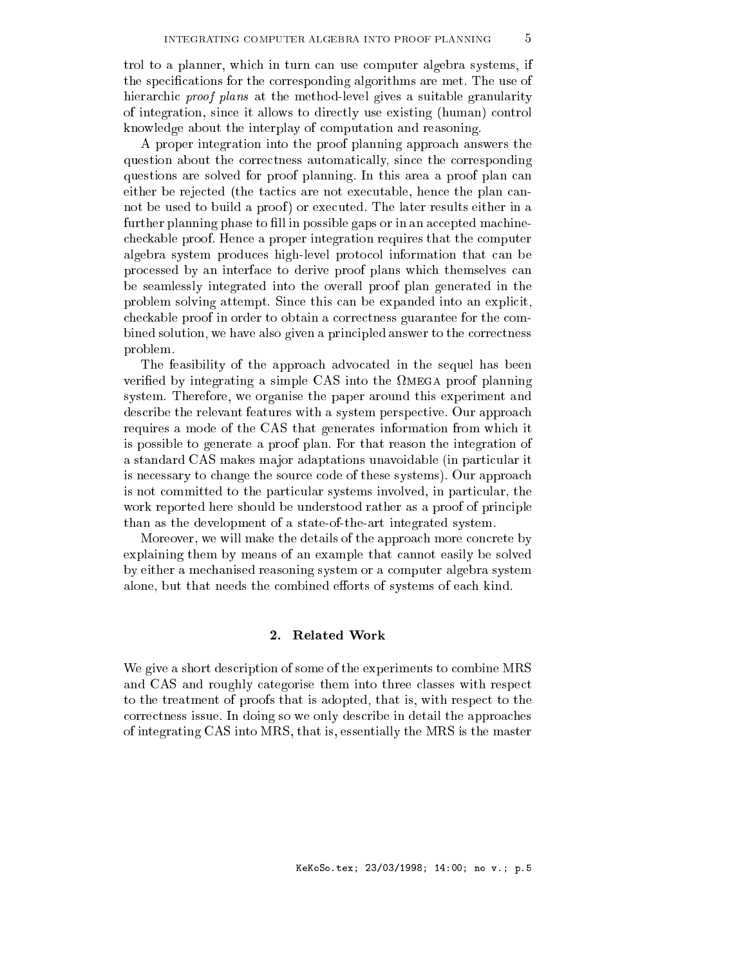trol to a planner, which in turn can use computer algebra systems, if the specications for the corresponding algorithms are met. The use of hierarchic *proof plans* at the method-level gives a suitable granularity of integration, since it allows to directly use existing (human) control knowledge about the interplay of computation and reasoning.

A proper integration into the proof planning approach answers the question about the correctness automatically, since the corresponding questions are solved for proof planning. In this area a proof plan can either be rejected (the tactics are not executable, hence the plan cannot be used to build a proof) or executed. The later results either in a further planning phase to fill in possible gaps or in an accepted machinecheckable proof. Hence a proper integration requires that the computer algebra system produces high-level protocol information that can be processed by an interface to derive proof plans which themselves can be seamlessly integrated into the overall proof plan generated in the problem solving attempt. Since this can be expanded into an explicit, checkable proof in order to obtain a correctness guarantee for the combined solution, we have also given a principled answer to the correctness problem.

The feasibility of the approach advocated in the sequel has been veried by integrating a simple CAS into the mega proof planning system. Therefore, we organise the paper around this experiment and describe the relevant features with a system perspective. Our approach requires a mode of the CAS that generates information from which it is possible to generate a proof plan. For that reason the integration of a standard CAS makes major adaptations unavoidable (in particular it is necessary to change the source code of these systems). Our approach is not committed to the particular systems involved, in particular, the work reported here should be understood rather as a proof of principle than as the development of a state-of-the-art integrated system.

Moreover, we will make the details of the approach more concrete by explaining them by means of an example that cannot easily be solved by either a mechanised reasoning system or a computer algebra system alone, but that needs the combined efforts of systems of each kind.

#### 2. Related Work

We give a short description of some of the experiments to combine MRS and CAS and roughly categorise them into three classes with respect to the treatment of proofs that is adopted, that is, with respect to the correctness issue. In doing so we only describe in detail the approaches of integrating CAS into MRS, that is, essentially the MRS is the master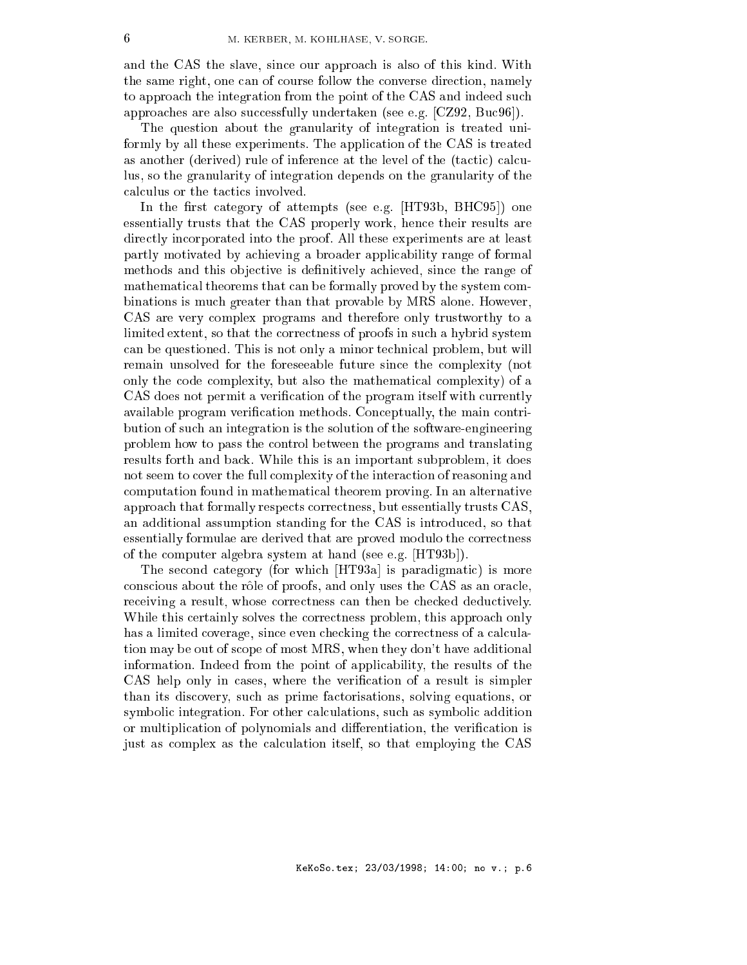and the CAS the slave, since our approach is also of this kind. With the same right, one can of course follow the converse direction, namely to approach the integration from the point of the CAS and indeed such approaches are also successfully undertaken (see e.g. [CZ92, Buc96]).

The question about the granularity of integration is treated uniformly by all these experiments. The application of the CAS is treated as another (derived) rule of inference at the level of the (tactic) calculus, so the granularity of integration depends on the granularity of the calculus or the tactics involved.

In the first category of attempts (see e.g.  $[HT93b, BHC95])$  one essentially trusts that the CAS properly work, hence their results are directly incorporated into the proof. All these experiments are at least partly motivated by achieving a broader applicability range of formal methods and this objective is definitively achieved, since the range of mathematical theorems that can be formally proved by the system combinations is much greater than that provable by MRS alone. However, CAS are very complex programs and therefore only trustworthy to a limited extent, so that the correctness of proofs in such a hybrid system can be questioned. This is not only a minor technical problem, but will remain unsolved for the foreseeable future since the complexity (not only the code complexity, but also the mathematical complexity) of a CAS does not permit a verification of the program itself with currently available program verification methods. Conceptually, the main contribution of such an integration is the solution of the software-engineering problem how to pass the control between the programs and translating results forth and back. While this is an important subproblem, it does not seem to cover the full complexity of the interaction of reasoning and computation found in mathematical theorem proving. In an alternative approach that formally respects correctness, but essentially trusts CAS, an additional assumption standing for the CAS is introduced, so that essentially formulae are derived that are proved modulo the correctness of the computer algebra system at hand (see e.g. [HT93b]).

The second category (for which [HT93a] is paradigmatic) is more conscious about the rôle of proofs, and only uses the CAS as an oracle, receiving a result, whose correctness can then be checked deductively. While this certainly solves the correctness problem, this approach only has a limited coverage, since even checking the correctness of a calculation may be out of scope of most MRS, when they don't have additional information. Indeed from the point of applicability, the results of the CAS help only in cases, where the verication of a result is simpler than its discovery, such as prime factorisations, solving equations, or symbolic integration. For other calculations, such as symbolic addition or multiplication of polynomials and differentiation, the verification is just as complex as the calculation itself, so that employing the CAS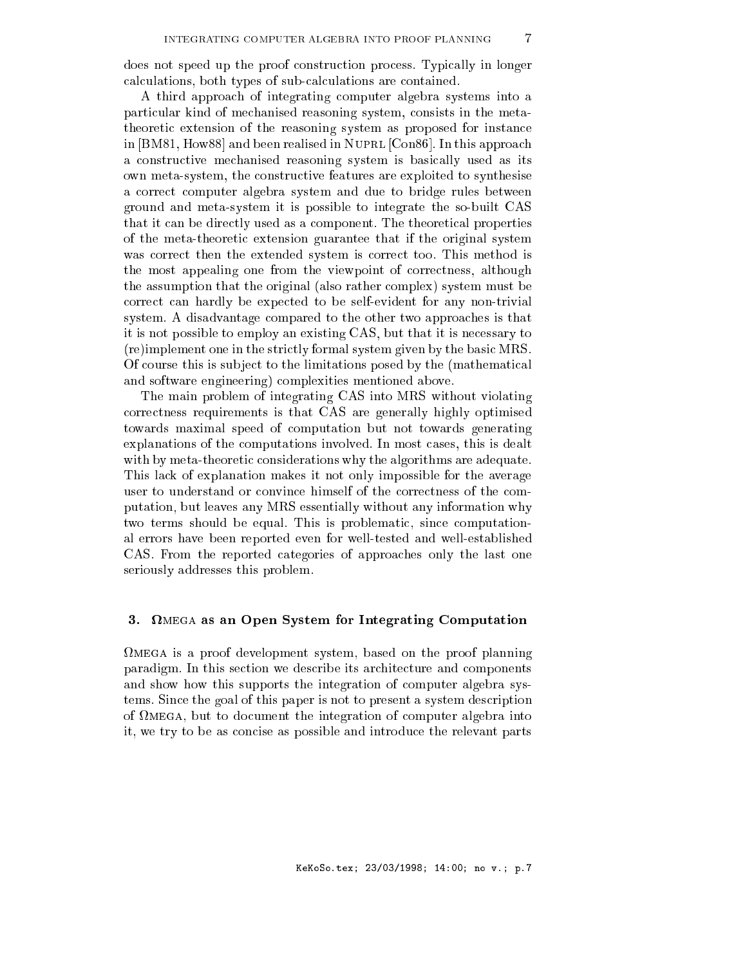does not speed up the proof construction process. Typically in longer calculations, both types of sub-calculations are contained.

A third approach of integrating computer algebra systems into a particular kind of mechanised reasoning system, consists in the metatheoretic extension of the reasoning system as proposed for instance in  $[BM81, How88]$  and been realised in NUPRL  $[Con86]$ . In this approach a constructive mechanised reasoning system is basically used as its own meta-system, the constructive features are exploited to synthesise a correct computer algebra system and due to bridge rules between ground and meta-system it is possible to integrate the so-built CAS that it can be directly used as a component. The theoretical properties of the meta-theoretic extension guarantee that if the original system was correct then the extended system is correct too. This method is the most appealing one from the viewpoint of correctness, although the assumption that the original (also rather complex) system must be correct can hardly be expected to be self-evident for any non-trivial system. A disadvantage compared to the other two approaches is that it is not possible to employ an existing CAS, but that it is necessary to (re)implement one in the strictly formal system given by the basic MRS. Of course this is sub ject to the limitations posed by the (mathematical and software engineering) complexities mentioned above.

The main problem of integrating CAS into MRS without violating correctness requirements is that CAS are generally highly optimised towards maximal speed of computation but not towards generating explanations of the computations involved. In most cases, this is dealt with by meta-theoretic considerations why the algorithms are adequate. This lack of explanation makes it not only impossible for the average user to understand or convince himself of the correctness of the computation, but leaves any MRS essentially without any information why two terms should be equal. This is problematic, since computational errors have been reported even for well-tested and well-established CAS. From the reported categories of approaches only the last one seriously addresses this problem.

#### 3. mega as an Open System for Integrating Computation

 mega is a proof development system, based on the proof planning paradigm. In this section we describe its architecture and components and show how this supports the integration of computer algebra systems. Since the goal of this paper is not to present a system description of mega, but to document the integration of computer algebra into it, we try to be as concise as possible and introduce the relevant parts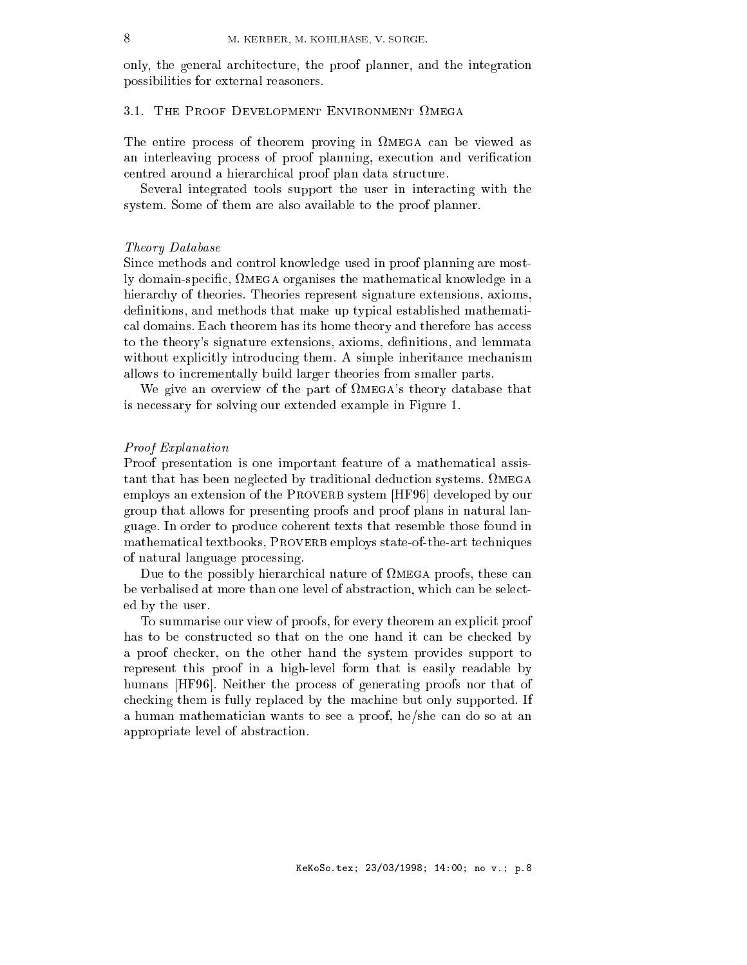only, the general architecture, the proof planner, and the integration possibilities for external reasoners.

The entire process of theorem proving in mega can be viewed as an interleaving process of proof planning, execution and verication centred around a hierarchical proof plan data structure.

Several integrated tools support the user in interacting with the system. Some of them are also available to the proof planner.

#### Theory Database

Since methods and control knowledge used in proof planning are most- $\alpha$  , and means the mathematical measurement is considered in a mathematical mathematical mathematical mathematical  $\alpha$ hierarchy of theories. Theories represent signature extensions, axioms, definitions, and methods that make up typical established mathematical domains. Each theorem has its home theory and therefore has access to the theory's signature extensions, axioms, definitions, and lemmata without explicitly introducing them. A simple inheritance mechanism allows to incrementally build larger theories from smaller parts.

We give an overview of the part of  $\Omega$ MEGA's theory database that is necessary for solving our extended example in Figure 1.

#### Proof Explanation

Proof presentation is one important feature of a mathematical assistant that has been neglected by traditional deduction systems. mega employs an extension of the PROVERB system [HF96] developed by our group that allows for presenting proofs and proof plans in natural language. In order to produce coherent texts that resemble those found in mathematical textbooks, PROVERB employs state-of-the-art techniques of natural language processing.

Due to the possibly hierarchical nature of mega proofs, these can be verbalised at more than one level of abstraction, which can be selected by the user. ed by the user. The user of the user of the user of the user of the user of the user of the user. The user of the user of the user of the user of the user of the user of the user of the user of the user of the user of the

To summarise our view of proofs, for every theorem an explicit proof has to be constructed so that on the one hand it can be checked by a proof checker, on the other hand the system provides support to represent this proof in a high-level form that is easily readable by humans [HF96]. Neither the process of generating proofs nor that of checking them is fully replaced by the machine but only supported. If a human mathematician wants to see a proof, he/she can do so at an appropriate level of abstraction.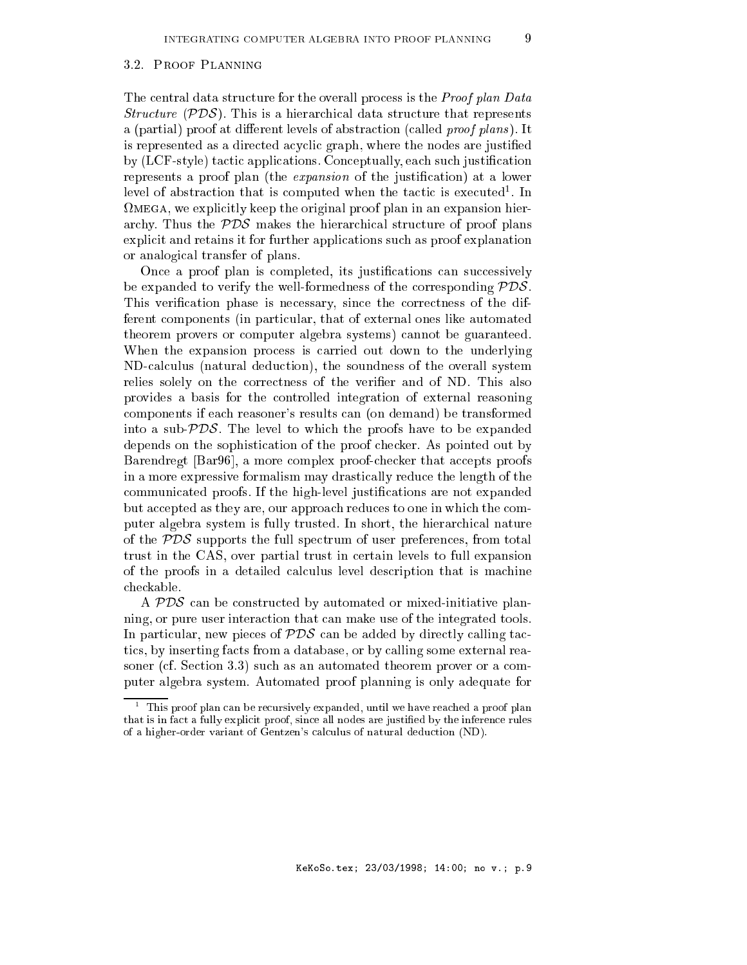#### 3.2. Proof Planning

The central data structure for the overall process is the Proof plan Data Structure ( $PDS$ ). This is a hierarchical data structure that represents a (partial) proof at different levels of abstraction (called *proof plans*). It is represented as a directed acyclic graph, where the nodes are justied by (LCF-style) tactic applications. Conceptually, each such justication represents a proof plan (the expansion of the justication) at a lower level of abstraction that is computed when the tactic is executed<sup>1</sup>. In mega, we explicitly keep the original proof plan in an expansion hierarchy. Thus the  $PDS$  makes the hierarchical structure of proof plans explicit and retains it for further applications such as proof explanation or analogical transfer of plans.

Once a proof plan is completed, its justifications can successively be expanded to verify the well-formedness of the corresponding PDS. This verification phase is necessary, since the correctness of the different components (in particular, that of external ones like automated theorem provers or computer algebra systems) cannot be guaranteed. When the expansion process is carried out down to the underlying ND-calculus (natural deduction), the soundness of the overall system relies solely on the correctness of the verifier and of ND. This also provides a basis for the controlled integration of external reasoning components if each reasoner's results can (on demand) be transformed into a sub- $PDS$ . The level to which the proofs have to be expanded depends on the sophistication of the proof checker. As pointed out by Barendregt [Bar96], a more complex proof-checker that accepts proofs in a more expressive formalism may drastically reduce the length of the communicated proofs. If the high-level justifications are not expanded but accepted as they are, our approach reduces to one in which the computer algebra system is fully trusted. In short, the hierarchical nature of the  $PDS$  supports the full spectrum of user preferences, from total trust in the CAS, over partial trust in certain levels to full expansion of the proofs in a detailed calculus level description that is machine checkable.

A PDS can be constructed by automated or mixed-initiative planning, or pure user interaction that can make use of the integrated tools. In particular, new pieces of  $PDS$  can be added by directly calling tactics, by inserting facts from a database, or by calling some external reasoner (cf. Section 3.3) such as an automated theorem prover or a computer algebra system. Automated proof planning is only adequate for

 $\overline{\phantom{a}}$ This proof plan can be recursively expanded, until we have reached a proof plan that is in fact a fully explicit proof, since all nodes are justied by the inference rules of a higher-order variant of Gentzen's calculus of natural deduction (ND).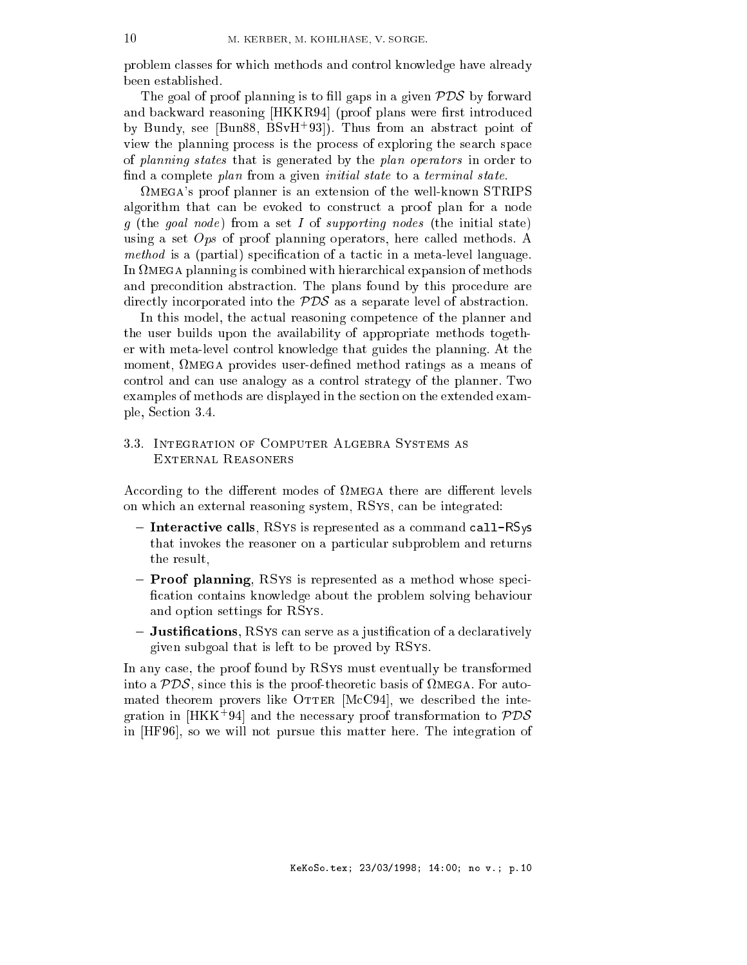problem classes for which methods and control knowledge have already been established.

The goal of proof planning is to fill gaps in a given  $PDS$  by forward and backward reasoning [HKKR94] (proof plans were first introduced by Bundy, see [Bun88, BSvH<sup>+</sup>93]). Thus from an abstract point of view the planning process is the process of exploring the search space of planning states that is generated by the plan operators in order to find a complete plan from a given *initial state* to a *terminal state*.

 $\Omega$ MEGA's proof planner is an extension of the well-known STRIPS algorithm that can be evoked to construct a proof plan for a node  $\mathbf{f}$  (the goal nodes (the initial state) from a set initial state  $\mathbf{f}$ using a set Ops of proof planning operators, here called methods. A method is a (partial) specification of a tactic in a meta-level language. In mega planning is combined with hierarchical expansion of methods and precondition abstraction. The plans found by this procedure are directly incorporated into the  $PDS$  as a separate level of abstraction.

In this model, the actual reasoning competence of the planner and the user builds upon the availability of appropriate methods together with meta-level control knowledge that guides the planning. At the moment, mega provides user-dened method ratings as a means of control and can use analogy as a control strategy of the planner. Two examples of methods are displayed in the section on the extended example, Section 3.4.

## 3.3. Integration of Computer Algebra Systems as **EXTERNAL REASONERS**

According to the dierent modes of mega there are dierent levels on which an external reasoning system, RSys, can be integrated:

- Interactive calls, RSYs is represented as a command call-RSys that invokes the reasoner on a particular subproblem and returns the result,
- **Proof planning**, RSYs is represented as a method whose specification contains knowledge about the problem solving behaviour and option settings for RSys.
- $-$  **Justifications**, RSYs can serve as a justification of a declaratively given subgoal that is left to be proved by RSys.

In any case, the proof found by RSys must eventually be transformed into a PDS, since this is the proof-theoretic basis of mega. For automated theorem provers like OTTER  $[McC94]$ , we described the integration in [HKK<sup>+</sup>94] and the necessary proof transformation to  $PDS$ in [HF96], so we will not pursue this matter here. The integration of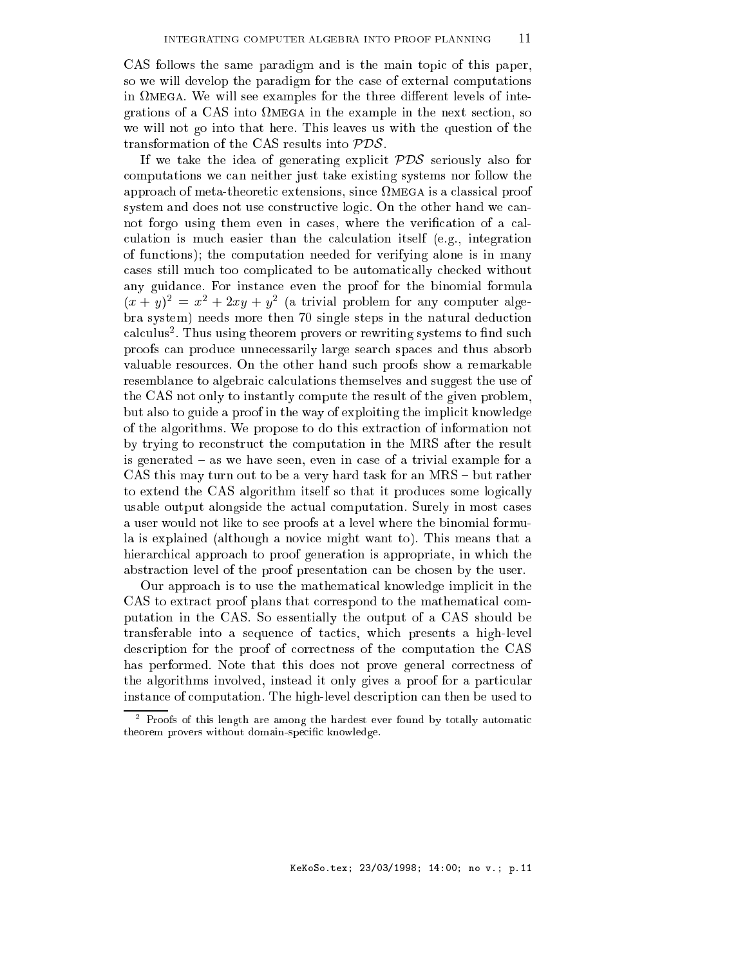CAS follows the same paradigm and is the main topic of this paper, so we will develop the paradigm for the case of external computations mega. We will see the three examples for the three distributions for the three distribution mega into a CAS into  $\mathbf{r}$  into a CAS into a CAS into a CAS in the next section, so in the next section, so in we will not go into that here. This leaves us with the question of the transformation of the CAS results into PDS.

If we take the idea of generating explicit  $PDS$  seriously also for computations we can neither just take existing systems nor follow the approach of meta-theoretic extensions, since mega is a classical proof system and does not use constructive logic. On the other hand we cannot forgo using them even in cases, where the verification of a calculation is much easier than the calculation itself (e.g., integration of functions); the computation needed for verifying alone is in many cases still much too complicated to be automatically checked without any guidance. For instance even the proof for the binomial formula  $(x+y)^2 = x^2 + 2xy + y^2$  (a trivial problem for any computer algebra system) needs more then 70 single steps in the natural deduction calculus<sup>2</sup>. Thus using theorem provers or rewriting systems to find such proofs can produce unnecessarily large search spaces and thus absorb valuable resources. On the other hand such proofs show a remarkable resemblance to algebraic calculations themselves and suggest the use of the CAS not only to instantly compute the result of the given problem, but also to guide a proof in the way of exploiting the implicit knowledge of the algorithms. We propose to do this extraction of information not by trying to reconstruct the computation in the MRS after the result is generated  $-$  as we have seen, even in case of a trivial example for a CAS this may turn out to be a very hard task for an  $MRS - but rather$ to extend the CAS algorithm itself so that it produces some logically usable output alongside the actual computation. Surely in most cases a user would not like to see proofs at a level where the binomial formula is explained (although a novice might want to). This means that a hierarchical approach to proof generation is appropriate, in which the abstraction level of the proof presentation can be chosen by the user.

Our approach is to use the mathematical knowledge implicit in the CAS to extract proof plans that correspond to the mathematical computation in the CAS. So essentially the output of a CAS should be transferable into a sequence of tactics, which presents a high-level description for the proof of correctness of the computation the CAS has performed. Note that this does not prove general correctness of the algorithms involved, instead it only gives a proof for a particular instance of computation. The high-level description can then be used to

<sup>2</sup> Proofs of this length are among the hardest ever found by totally automatic theorem provers without domain-specic knowledge.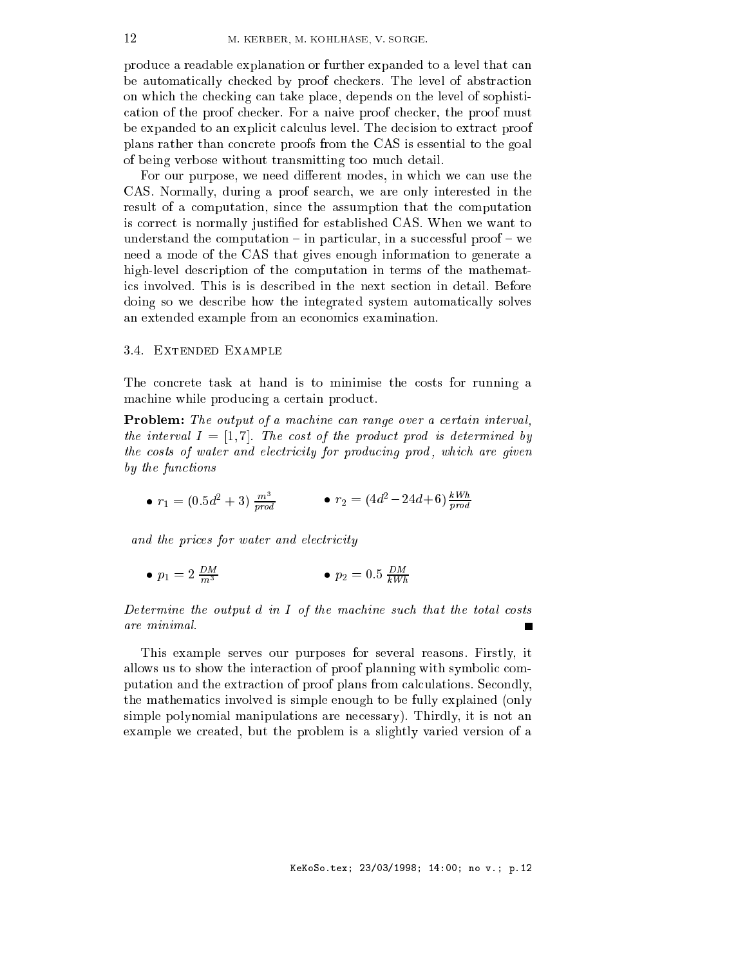produce a readable explanation or further expanded to a level that can be automatically checked by proof checkers. The level of abstraction on which the checking can take place, depends on the level of sophistication of the proof checker. For a naive proof checker, the proof must be expanded to an explicit calculus level. The decision to extract proof plans rather than concrete proofs from the CAS is essential to the goal of being verbose without transmitting too much detail.

For our purpose, we need different modes, in which we can use the CAS. Normally, during a proof search, we are only interested in the result of a computation, since the assumption that the computation is correct is normally justied for established CAS. When we want to understand the computation  ${\bf -}$  in particular, in a successful proof  ${\bf -}$  we need a mode of the CAS that gives enough information to generate a high-level description of the computation in terms of the mathematics involved. This is is described in the next section in detail. Before doing so we describe how the integrated system automatically solves an extended example from an economics examination.

#### 3.4. EXTENDED EXAMPLE

The concrete task at hand is to minimise the costs for running a machine while producing a certain product.

Problem: The output of a machine can range over a certain interval, the interval  $I = [1, 7]$ . The cost of the product prod is determined by the costs of water and electricity for producing prod, which are given by the functions

• 
$$
r_1 = (0.5d^2 + 3) \frac{m^3}{prod}
$$
 •  $r_2 = (4d^2 - 24d + 6) \frac{kWh}{prod}$ 

and the prices for water and electricity

• 
$$
p_1 = 2 \frac{DM}{m^3}
$$
 •  $p_2 = 0.5 \frac{DM}{kWh}$ 

Determine the output <sup>d</sup> in <sup>I</sup> of the machine such that the total costs are minimal.

This example serves our purposes for several reasons. Firstly, it allows us to show the interaction of proof planning with symbolic computation and the extraction of proof plans from calculations. Secondly, the mathematics involved is simple enough to be fully explained (only simple polynomial manipulations are necessary). Thirdly, it is not an example we created, but the problem is a slightly varied version of a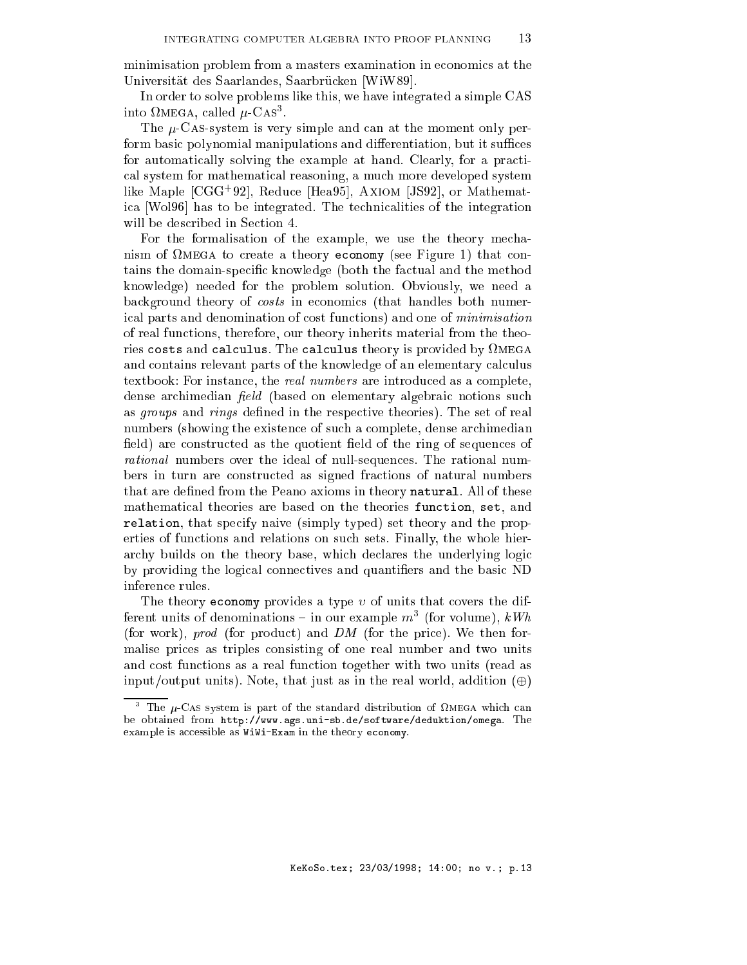minimisation problem from a masters examination in economics at the Universität des Saarlandes, Saarbrücken [WiW89].

In order to solve problems like this, we have integrated a simple CAS into  $\Omega$ MEGA, called  $\mu$ -CAS<sup>3</sup>.

The  $\mu$ -Cas-system is very simple and can at the moment only perform basic polynomial manipulations and differentiation, but it suffices for automatically solving the example at hand. Clearly, for a practical system for mathematical reasoning, a much more developed system like Maple [CGG<sup>+</sup> 92], Reduce [Hea95], Axiom [JS92], or Mathematica [Wol96] has to be integrated. The technicalities of the integration will be described in Section 4.

For the formalisation of the example, we use the theory mechanism of mega to create a theory economy (see Figure 1) that contains the domain-specic knowledge (both the factual and the method knowledge) needed for the problem solution. Obviously, we need a background theory of costs in economics (that handles both numerical parts and denomination of cost functions) and one of minimisation of real functions, therefore, our theory inherits material from the theories costs and calculus. The calculus theory is provided by  $\Omega_{\rm MEGA}$ and contains relevant parts of the knowledge of an elementary calculus textbook: For instance, the real numbers are introduced as a complete, dense archimedian *field* (based on elementary algebraic notions such as groups and rings defined in the respective theories). The set of real numbers (showing the existence of such a complete, dense archimedian field) are constructed as the quotient field of the ring of sequences of rational numbers over the ideal of null-sequences. The rational numbers in turn are constructed as signed fractions of natural numbers that are defined from the Peano axioms in theory natural. All of these mathematical theories are based on the theories function, set, and relation, that specify naive (simply typed) set theory and the properties of functions and relations on such sets. Finally, the whole hierarchy builds on the theory base, which declares the underlying logic by providing the logical connectives and quantiers and the basic ND inference rules.

The theory economy provides a type  $v$  of units that covers the different units of denominations – in our example  $m^3$  (for volume), kWh (for work), prod (for product) and DM (for the price). We then formalise prices as triples consisting of one real number and two units and cost functions as a real function together with two units (read as input/output units). Note, that just as in the real world, addition  $(\oplus)$ 

 $\overline{\phantom{a}}$ The -Cas system is part of the standard distribution of mega which can be obtained from http://www.ags.uni-sb.de/software/deduktion/omega. The example is accessible as WiWi-Exam in the theory economy.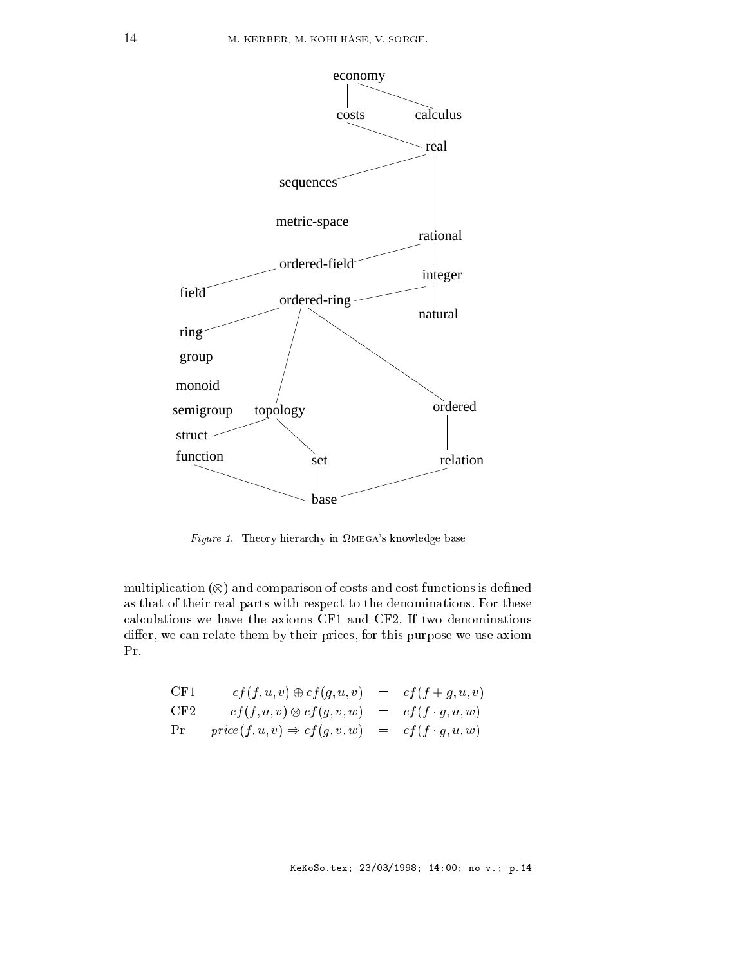

Figure 1. Theory hierarchy in  $\Omega$ MEGA's knowledge base

multiplication ( ) and comparison of costs and cost functions is dened as that of their real parts with respect to the denominations. For these calculations we have the axioms CF1 and CF2. If two denominations differ, we can relate them by their prices, for this purpose we use axiom Pr.

$$
\begin{aligned}\n\text{CF1} \qquad & cf(f, u, v) \oplus cf(g, u, v) &= cf(f + g, u, v) \\
\text{CF2} \qquad & cf(f, u, v) \otimes cf(g, v, w) &= cf(f \cdot g, u, w) \\
\text{Pr} \qquad & price(f, u, v) \Rightarrow cf(g, v, w) &= cf(f \cdot g, u, w)\n\end{aligned}
$$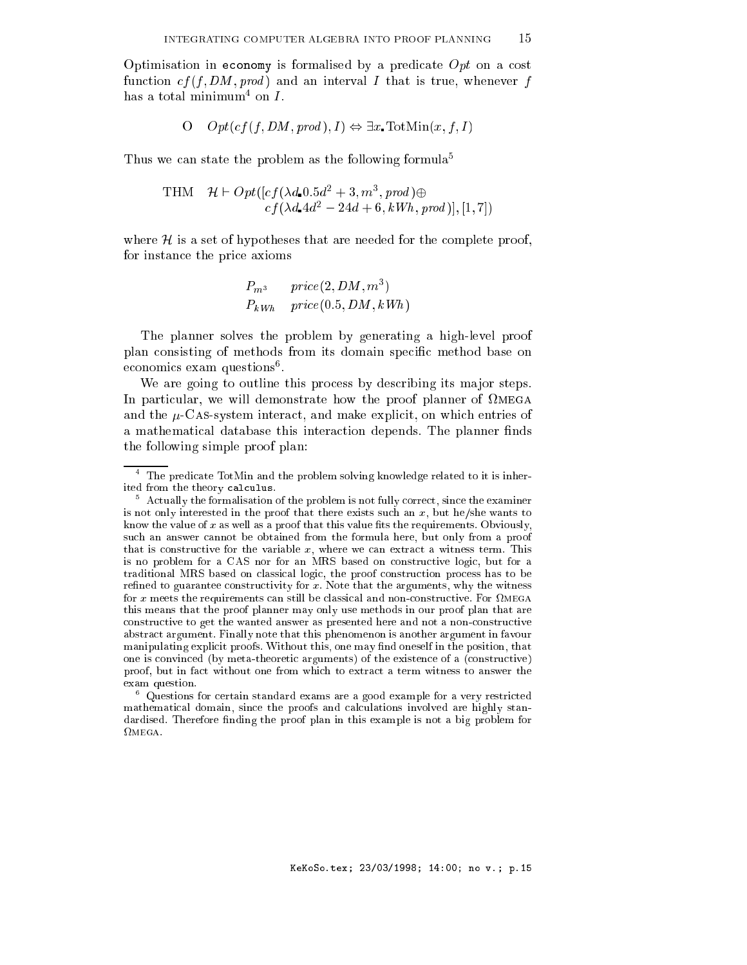Optimisation in economy is formalised by a predicate  $Opt$  on a cost function  $cf(f, DM, prod)$  and an interval I that is true, whenever f has a total minimum<sup>4</sup> on  $I$ .

O 
$$
Opt(cf(f, DM, prod), I) \Leftrightarrow \exists x \text{TotMin}(x, f, I)
$$

Thus we can state the problem as the following formula<sup>5</sup>

THM 
$$
\mathcal{H} \vdash Opt([cf(\lambda d. 0.5d^2 + 3, m^3, prod)\oplus
$$
  
 $cf(\lambda d. 4d^2 - 24d + 6, kWh, prod)], [1, 7])$ 

where  $H$  is a set of hypotheses that are needed for the complete proof, for instance the price axioms

$$
P_{m3} \t\t price (2, DM, m3)
$$
  

$$
P_{kWh} \t\t price (0.5, DM, kWh)
$$

The planner solves the problem by generating a high-level proof plan consisting of methods from its domain specic method base on economics exam questions<sup>6</sup>.

We are going to outline this process by describing its major steps. In particular, we will demonstrate how the proof planner of mega and the  $\mu$ -CAS-system interact, and make explicit, on which entries of a mathematical database this interaction depends. The planner finds the following simple proof plan:

The predicate TotMin and the problem solving knowledge related to it is inherited from the theory calculus.

 $^\circ$  - Actually the formalisation of the problem is not fully correct, since the examiner is not only interested in the proof that there exists such an  $x$ , but he/she wants to know the value of  $x$  as well as a proof that this value fits the requirements. Obviously, such an answer cannot be obtained from the formula here, but only from a proof that is constructive for the variable  $x$ , where we can extract a witness term. This is no problem for a CAS nor for an MRS based on constructive logic, but for a traditional MRS based on classical logic, the proof construction process has to be refined to guarantee constructivity for  $x$ . Note that the arguments, why the witness for <sup>x</sup> meets the requirements can still be classical and non-constructive. For mega this means that the proof planner may only use methods in our proof plan that are constructive to get the wanted answer as presented here and not a non-constructive abstract argument. Finally note that this phenomenon is another argument in favour manipulating explicit proofs. Without this, one may find oneself in the position, that one is convinced (by meta-theoretic arguments) of the existence of a (constructive) proof, but in fact without one from which to extract a term witness to answer the exam question.

 $\,$  - Questions for certain standard exams are a good example for a very restricted mathematical domain, since the proofs and calculations involved are highly standardised. Therefore finding the proof plan in this example is not a big problem for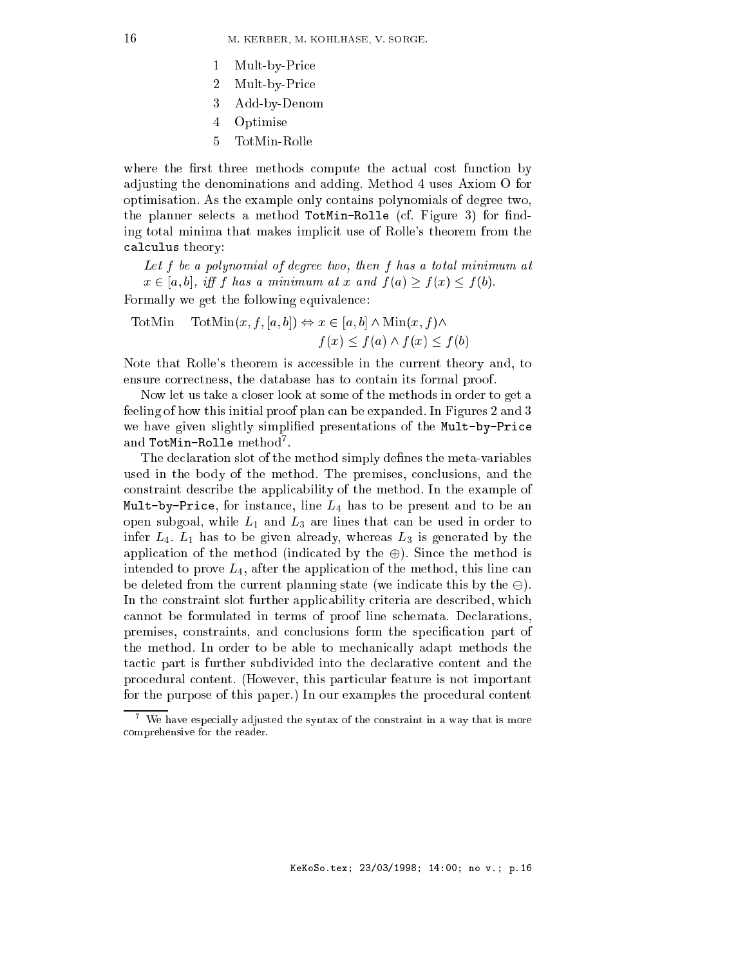- 1 Mult-by-Price
- $\overline{2}$ Mult-by-Price
- 3 Add-by-Denom
- 4 Optimise
- 5 TotMin-Rolle 5

where the first three methods compute the actual cost function by adjusting the denominations and adding. Method 4 uses Axiom O for optimisation. As the example only contains polynomials of degree two, the planner selects a method TotMin-Rolle (cf. Figure 3) for finding total minima that makes implicit use of Rolle's theorem from the calculus theory:

Let <sup>f</sup> be a polynomial of degree two, then <sup>f</sup> has a total minimum at x <sup>2</sup> [a; b], i <sup>f</sup> has a minimum at <sup>x</sup> and <sup>f</sup> (a) <sup>f</sup> (x) <sup>f</sup> (b).

Formally we get the following equivalence:

TotMin  $\text{TotMin}(x, f, [a, b]) \Leftrightarrow x \in [a, b] \wedge \text{Min}(x, f) \wedge$ f (x) <sup>f</sup> (a) ^ <sup>f</sup> (x) <sup>f</sup> (b)

Note that Rolle's theorem is accessible in the current theory and, to ensure correctness, the database has to contain its formal proof.

Now let us take a closer look at some of the methods in order to get a feeling of how this initial proof plan can be expanded. In Figures 2 and 3 we have given slightly simplified presentations of the Mult-by-Price and TotMin-Rolle method<sup>7</sup>.

The declaration slot of the method simply defines the meta-variables used in the body of the method. The premises, conclusions, and the constraint describe the applicability of the method. In the example of Mult-by-Price, for instance, line  $L_4$  has to be present and to be an open subgoal, while  $L_1$  and  $L_3$  are lines that can be used in order to infer  $L_4$ .  $L_1$  has to be given already, whereas  $L_3$  is generated by the application of the method (indicated by the  $\oplus$ ). Since the method is intended to prove  $L_4$ , after the application of the method, this line can be deleted from the current planning state (we indicate this by the  $\ominus$ ). In the constraint slot further applicability criteria are described, which cannot be formulated in terms of proof line schemata. Declarations, premises, constraints, and conclusions form the specification part of the method. In order to be able to mechanically adapt methods the tactic part is further subdivided into the declarative content and the procedural content. (However, this particular feature is not important for the purpose of this paper.) In our examples the procedural content

We have especially adjusted the syntax of the constraint in a way that is more comprehensive for the reader.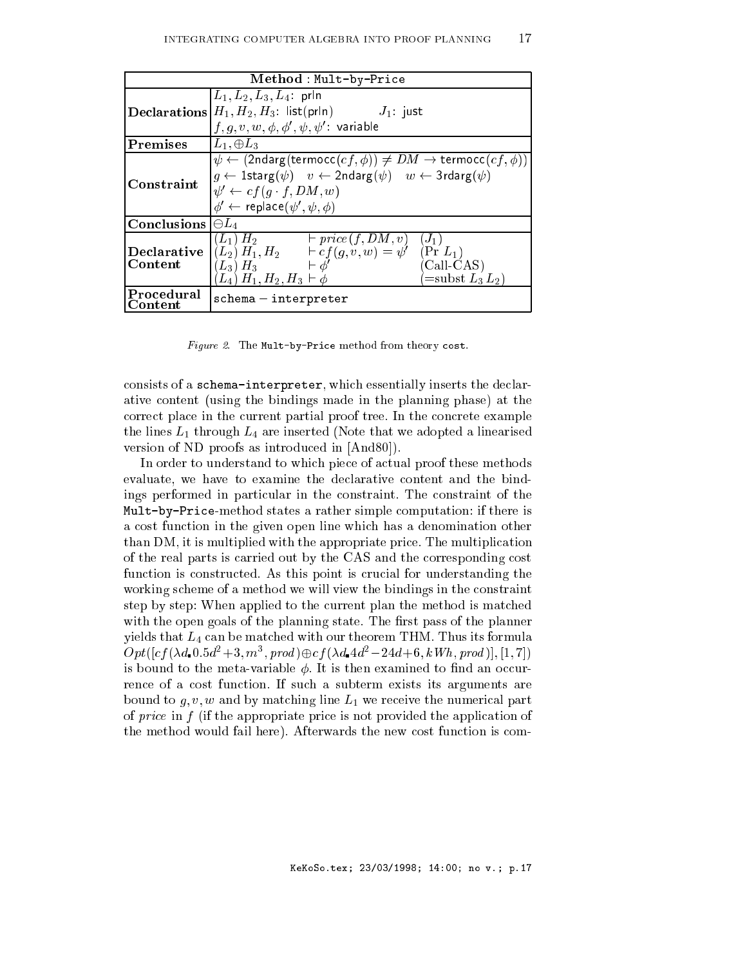| Method: Mult-by-Price              |                                                                                                                                                                                                                                                                                                              |  |  |
|------------------------------------|--------------------------------------------------------------------------------------------------------------------------------------------------------------------------------------------------------------------------------------------------------------------------------------------------------------|--|--|
|                                    | $L_1, L_2, L_3, L_4$ : prln<br><b>Declarations</b> $H_1, H_2, H_3$ : list(prln) $J_1$ : just<br>$f, g, v, w, \phi, \phi', \psi, \psi'$ : variable                                                                                                                                                            |  |  |
| Premises                           | $L_1, \oplus L_3$                                                                                                                                                                                                                                                                                            |  |  |
| Constraint                         | $\psi \leftarrow (2n \text{darg}(\text{termocc}(cf, \phi)) \neq DM \rightarrow \text{termocc}(cf, \phi))$<br>$g \leftarrow$ 1starg $(\psi)$ $v \leftarrow$ 2ndarg $(\psi)$ $w \leftarrow$ 3rdarg $(\psi)$<br>$\psi' \leftarrow cf(q \cdot f, DM, w)$<br>$\phi' \leftarrow \text{replace}(\psi', \psi, \phi)$ |  |  |
| Conclusions $\big \Theta L_4\big $ |                                                                                                                                                                                                                                                                                                              |  |  |
| Declarative<br>Content             | $\vdash price(f, DM, v)$<br>$(L_1)$ $H_2$<br>$(J_1)$<br>$(L_2) H_1, H_2$ $\qquad \vdash cf(g, v, w) = \psi' \quad (\Pr L_1)$<br>$\vdash \phi'$<br>Call-CAS)<br>$(L_3)$ $H_3$<br>$=$ subst $L_3$ $L_2$ )<br>$(L_4) H_1, H_2, H_3 \vdash \phi$                                                                 |  |  |
| Procedural<br>$\bf {Content}$      | $s$ chema $-$ interpreter                                                                                                                                                                                                                                                                                    |  |  |

Figure 2. The Mult-by-Price method from theory cost.

consists of a schema-interpreter, which essentially inserts the declarative content (using the bindings made in the planning phase) at the correct place in the current partial proof tree. In the concrete example the lines  $L_1$  through  $L_4$  are inserted (Note that we adopted a linearised version of ND proofs as introduced in [And80]).

In order to understand to which piece of actual proof these methods evaluate, we have to examine the declarative content and the bindings performed in particular in the constraint. The constraint of the Mult-by-Price-method states a rather simple computation: if there is a cost function in the given open line which has a denomination other than DM, it is multiplied with the appropriate price. The multiplication of the real parts is carried out by the CAS and the corresponding cost function is constructed. As this point is crucial for understanding the working scheme of a method we will view the bindings in the constraint step by step: When applied to the current plan the method is matched with the open goals of the planning state. The first pass of the planner yields that  $L_4$  can be matched with our theorem THM. Thus its formula  $Opt([cf(\lambda d. 0.5d^2+3, m^3, prod) \oplus cf(\lambda d. 4d^2-24d+6, kWh, prod)], [1, 7])$ is bound to the meta-variable  $\phi$ . It is then examined to find an occurrence of a cost function. If such a subterm exists its arguments are bound to  $g, v, w$  and by matching line  $L_1$  we receive the numerical part of price in <sup>f</sup> (if the appropriate price is not provided the application of the method would fail here). Afterwards the new cost function is com-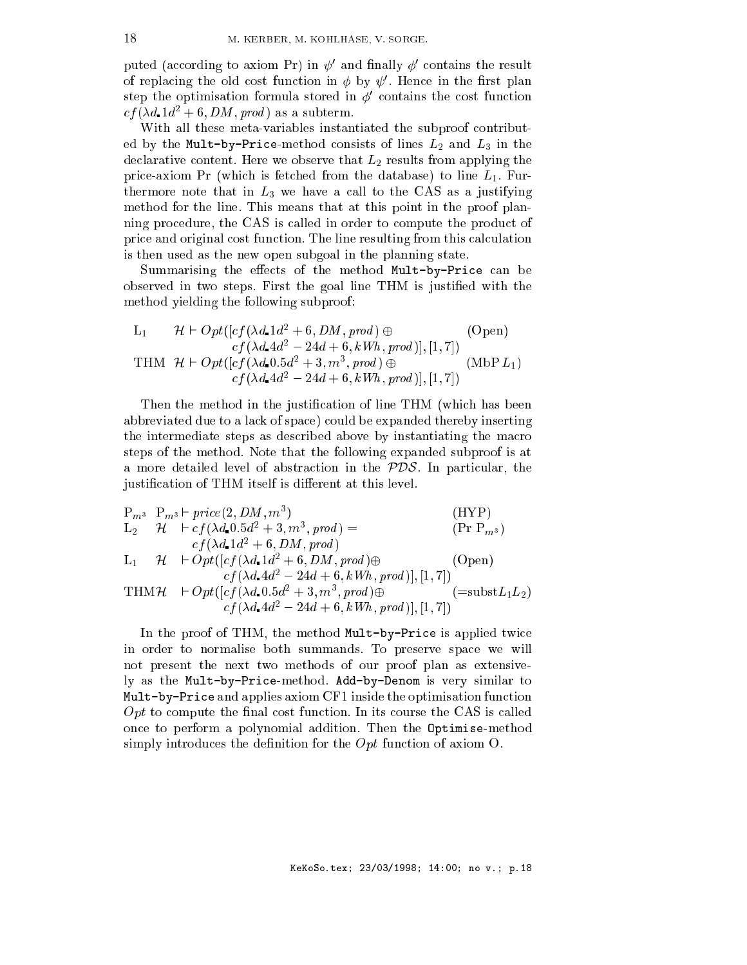puted (according to axiom  $F1$ ) in  $\psi$  and miany  $\phi$  contains the result of replacing the old cost function in  $\varphi$  by  $\psi$  . Hence in the first plan step the optimisation formula stored in  $\varphi$  contains the cost function  $cf (\lambda d \mathbf{1} d^2 + 6, DM, prod)$  as a subterm.

With all these meta-variables instantiated the subproof contributed by the Mult-by-Price-method consists of lines  $L_2$  and  $L_3$  in the declarative content. Here we observe that  $L_2$  results from applying the price-axiom Pr (which is fetched from the database) to line  $L_1$ . Furthermore note that in  $L_3$  we have a call to the CAS as a justifying method for the line. This means that at this point in the proof planning procedure, the CAS is called in order to compute the product of price and original cost function. The line resulting from this calculation is then used as the new open subgoal in the planning state.

Summarising the effects of the method Mult-by-Price can be observed in two steps. First the goal line THM is justied with the method yielding the following subproof:

$$
L_1 \t\mathcal{H} \vdash Opt([cf(\lambda d, 1d^2 + 6, DM, prod) \oplus \text{(Open)}
$$
  
\n
$$
cf(\lambda d, 4d^2 - 24d + 6, kWh, prod)], [1, 7])
$$
  
\nTHM \t\mathcal{H} \vdash Opt([cf(\lambda d, 0.5d^2 + 3, m^3, prod) \oplus \text{(MbP } L\_1)  
\n
$$
cf(\lambda d, 4d^2 - 24d + 6, kWh, prod)], [1, 7])
$$

Then the method in the justification of line THM (which has been abbreviated due to a lack of space) could be expanded thereby inserting the intermediate steps as described above by instantiating the macro steps of the method. Note that the following expanded subproof is at a more detailed level of abstraction in the  $PDS$ . In particular, the justification of THM itself is different at this level.

$$
P_{m3} \tP_{m3} \vdash price(2, DM, m^3) \t(HYP)
$$
\n
$$
L_2 \tH \tF \tCf(\lambda d. 0.5d^2 + 3, m^3, prod) = \t(CPr P_{m^3})
$$
\n
$$
cf(\lambda d. 1d^2 + 6, DM, prod)
$$
\n
$$
L_1 \tH \tF Opt([cf(\lambda d. 1d^2 + 6, DM, prod) \oplus \tcf(\lambda d. 4d^2 - 24d + 6, kWh, prod)], [1, 7])
$$
\n
$$
THM \tH \tF Opt([cf(\lambda d. 0.5d^2 + 3, m^3, prod) \oplus \t(csubst L_1 L_2) \tcf(\lambda d. 4d^2 - 24d + 6, kWh, prod)], [1, 7])
$$

In the proof of THM, the method Mult-by-Price is applied twice in order to normalise both summands. To preserve space we will not present the next two methods of our proof plan as extensively as the Mult-by-Price-method. Add-by-Denom is very similar to Mult-by-Price and applies axiom CF1 inside the optimisation function Opt to compute the nal cost function. In its course the CAS is called once to perform a polynomial addition. Then the Optimise-method simply introduces the definition for the  $Opt$  function of axiom O.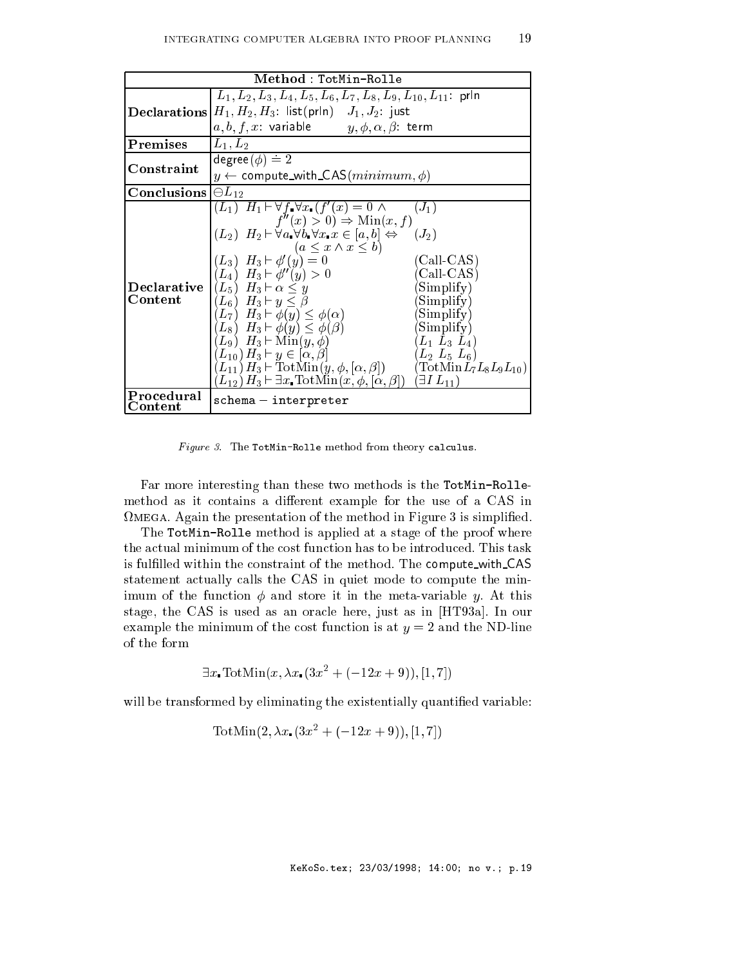| Method: TotMin-Rolle         |                                                                                                                                                                                                                                                                                                                                                                                                                                                                                                                                                                                                                                                                                                                                                                                                                                                                                                                                                                                                                                 |  |  |
|------------------------------|---------------------------------------------------------------------------------------------------------------------------------------------------------------------------------------------------------------------------------------------------------------------------------------------------------------------------------------------------------------------------------------------------------------------------------------------------------------------------------------------------------------------------------------------------------------------------------------------------------------------------------------------------------------------------------------------------------------------------------------------------------------------------------------------------------------------------------------------------------------------------------------------------------------------------------------------------------------------------------------------------------------------------------|--|--|
|                              | $L_1, L_2, L_3, L_4, L_5, L_6, L_7, L_8, L_9, L_{10}, L_{11}$ : prln<br><b>Declarations</b> $H_1, H_2, H_3$ : list(prln) $J_1, J_2$ : just                                                                                                                                                                                                                                                                                                                                                                                                                                                                                                                                                                                                                                                                                                                                                                                                                                                                                      |  |  |
|                              | $a, b, f, x$ : variable $y, \phi, \alpha, \beta$ : term                                                                                                                                                                                                                                                                                                                                                                                                                                                                                                                                                                                                                                                                                                                                                                                                                                                                                                                                                                         |  |  |
| Premises                     | $L_1, L_2$                                                                                                                                                                                                                                                                                                                                                                                                                                                                                                                                                                                                                                                                                                                                                                                                                                                                                                                                                                                                                      |  |  |
| Constraint                   | $degree(\phi) = 2$<br>$y \leftarrow$ compute_with_CAS $(minimum, \phi)$                                                                                                                                                                                                                                                                                                                                                                                                                                                                                                                                                                                                                                                                                                                                                                                                                                                                                                                                                         |  |  |
| Conclusions $\Theta L_{12}$  |                                                                                                                                                                                                                                                                                                                                                                                                                                                                                                                                                                                                                                                                                                                                                                                                                                                                                                                                                                                                                                 |  |  |
| $\bf Declarative$<br>Content | $(L_1)$ $H_1 \vdash \forall f \forall x$ $(f'(x) = 0 \land$<br>$(J_1)$<br>$f''(x) > 0$ $\Rightarrow$ Min $(x, f)$<br>$(L_2)$ $H_2 \vdash \forall a \forall b \forall x \ x \in [a, b] \Leftrightarrow$ $(J_2)$<br>$(a \leq x \land x \leq b)$<br>$\begin{array}{ll} (L_3) \;\; H_3 \vdash \phi'(y) = 0 \ (L_4) \;\; H_3 \vdash \phi''(y) > 0 \end{array}$<br>Call-CAS)<br>Call-CAS)<br>$(L_5)$ $H_3$ + $\alpha \leq y$<br>Simplify)<br>$(L_6)$ $H_3 \vdash y \leq \beta$<br>Simplify)<br>$\begin{array}{ll} (L_7) & H_3 \vdash \check{\phi}(y) \leq \phi(\alpha) \ L_8 & H_3 \vdash \phi(y) \leq \phi(\beta) \end{array}$<br>Simplify)<br>Simplify)<br>$L_9$ ) $H_3 + \widetilde{\text{Min}}(\overline{y}, \phi)$<br>$(L_1\; L_3\; L_4)$<br>$(L_2 \; L_5 \; L_6)$<br>$(L_{10})H_3\vdash y\in[\alpha,\beta]$<br>$(L_{11}) H_3 \vdash \text{TotMin}(y, \phi, [\alpha, \beta])$<br>$( \text{TotMin} L_7 L_8 L_9 L_{10} )$<br>$(L_{12}) H_3 \vdash \exists x \; \text{TotMin}(x, \phi, [\alpha, \beta])$<br>$(\exists I \, L_{11})$ |  |  |
| Procedural<br>Content        | $\verb scheme-interpreter $                                                                                                                                                                                                                                                                                                                                                                                                                                                                                                                                                                                                                                                                                                                                                                                                                                                                                                                                                                                                     |  |  |

Figure 3. The TotMin-Rolle method from theory calculus.

Far more interesting than these two methods is the TotMin-Rollemethod as it contains a different example for the use of a CAS in mega. Again the presentation of the method in Figure 3 is simplied.

The TotMin-Rolle method is applied at a stage of the proof where the actual minimum of the cost function has to be introduced. This task is fulfilled within the constraint of the method. The compute\_with\_CAS statement actually calls the CAS in quiet mode to compute the minimum of the function  $\phi$  and store it in the meta-variable y. At this stage, the CAS is used as an oracle here, just as in [HT93a]. In our example the minimum of the cost function is at  $y = 2$  and the ND-line of the form

$$
\exists x.\, \text{TotMin}(x, \lambda x. (3x^2 + (-12x + 9)), [1, 7])
$$

will be transformed by eliminating the existentially quantified variable:

$$
TotMin(2, \lambda x \cdot (3x^2 + (-12x + 9)), [1, 7])
$$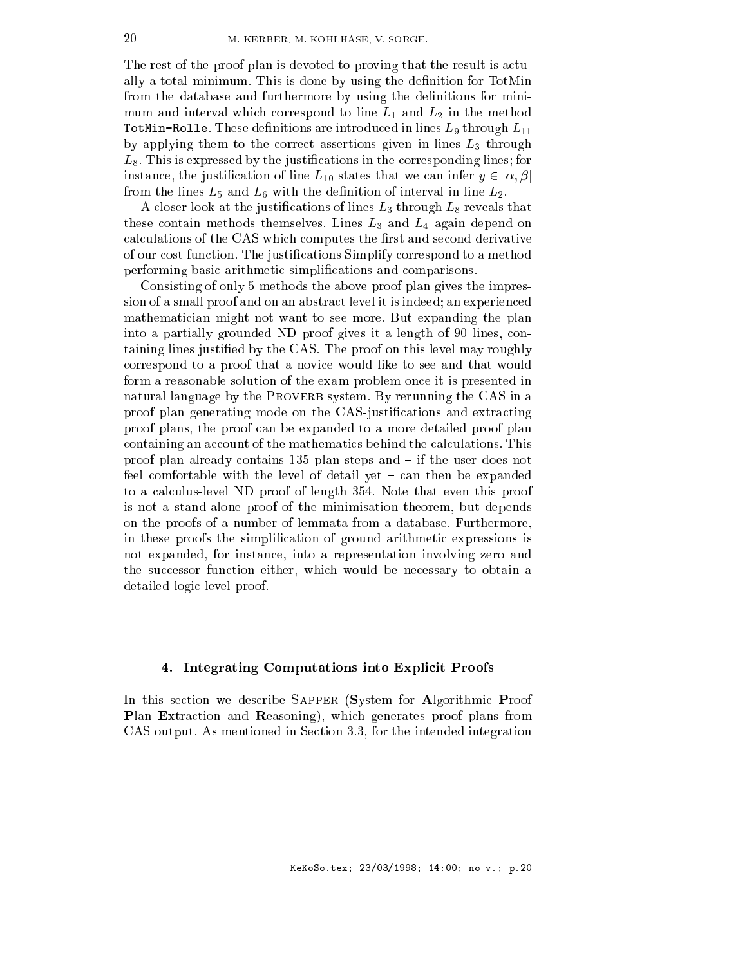The rest of the proof plan is devoted to proving that the result is actually a total minimum. This is done by using the definition for TotMin from the database and furthermore by using the definitions for minimum and interval which correspond to line  $L_1$  and  $L_2$  in the method TotMin-Rolle. These definitions are introduced in lines  $L_9$  through  $L_{11}$ by applying them to the correct assertions given in lines  $L_3$  through  $L_8$ . This is expressed by the justifications in the corresponding lines; for instance, the justification of line  $L_{10}$  states that we can infer  $y \in [\alpha, \beta]$ from the lines  $L_5$  and  $L_6$  with the definition of interval in line  $L_2$ .

A closer look at the justifications of lines  $L_3$  through  $L_8$  reveals that these contain methods themselves. Lines  $L_3$  and  $L_4$  again depend on calculations of the CAS which computes the first and second derivative of our cost function. The justications Simplify correspond to a method performing basic arithmetic simplications and comparisons.

Consisting of only 5 methods the above proof plan gives the impression of a small proof and on an abstract level it is indeed; an experienced mathematician might not want to see more. But expanding the plan into a partially grounded ND proof gives it a length of 90 lines, containing lines justied by the CAS. The proof on this level may roughly correspond to a proof that a novice would like to see and that would form a reasonable solution of the exam problem once it is presented in natural language by the PROVERB system. By rerunning the CAS in a proof plan generating mode on the CAS-justications and extracting proof plans, the proof can be expanded to a more detailed proof plan containing an account of the mathematics behind the calculations. This proof plan already contains  $135$  plan steps and  $-$  if the user does not feel comfortable with the level of detail yet  $-$  can then be expanded to a calculus-level ND proof of length 354. Note that even this proof is not a stand-alone proof of the minimisation theorem, but depends on the proofs of a number of lemmata from a database. Furthermore, in these proofs the simplification of ground arithmetic expressions is not expanded, for instance, into a representation involving zero and the successor function either, which would be necessary to obtain a detailed logic-level proof.

#### 4. Integrating Computations into Explicit Proofs

In this section we describe SAPPER (System for Algorithmic Proof Plan Extraction and Reasoning), which generates proof plans from CAS output. As mentioned in Section 3.3, for the intended integration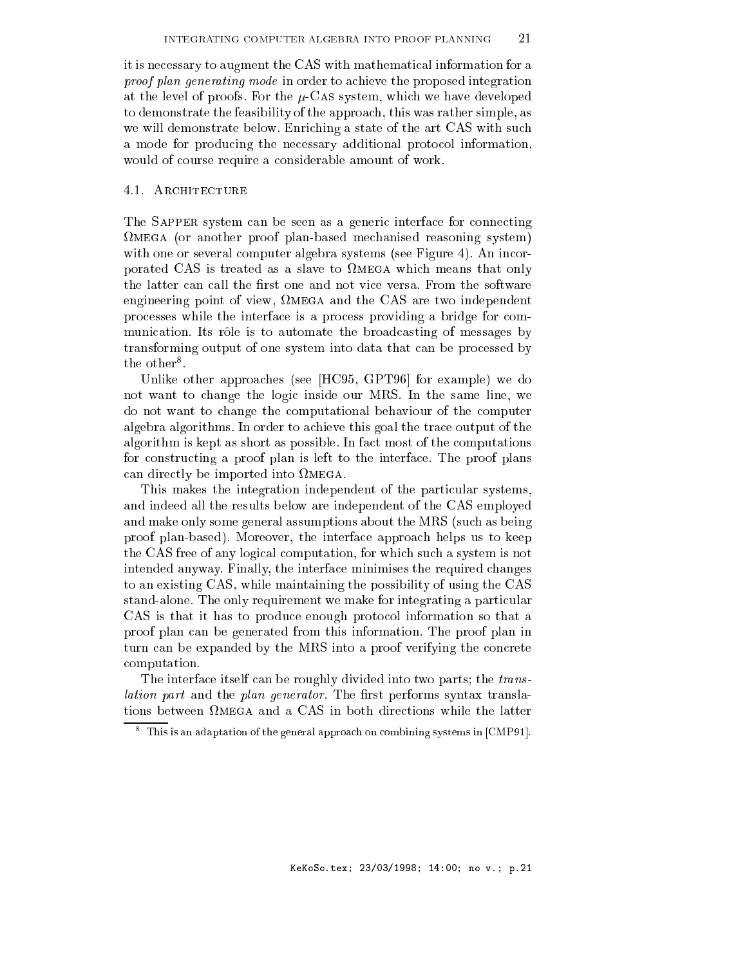it is necessary to augment the CAS with mathematical information for a proof plan generating mode in order to achieve the proposed integration at the level of proofs. For the  $\mu$ -CAS system, which we have developed to demonstrate the feasibility of the approach, this was rather simple, as we will demonstrate below. Enriching a state of the art CAS with such a mode for producing the necessary additional protocol information, would of course require a considerable amount of work.

#### 4.1. ARCHITECTURE

The SAPPER system can be seen as a generic interface for connecting mega (or another proof plan-based mechanised reasoning system) with one or several computer algebra systems (see Figure 4). An incorporated CAS is treated as a slave to mega which means that only the latter can call the first one and not vice versa. From the software engineering point of view, induction independent of view, and the case  $\alpha$ processes while the interface is a process providing a bridge for communication. Its rôle is to automate the broadcasting of messages by transforming output of one system into data that can be processed by the other<sup>8</sup>.

Unlike other approaches (see [HC95, GPT96] for example) we do not want to change the logic inside our MRS. In the same line, we do not want to change the computational behaviour of the computer algebra algorithms. In order to achieve this goal the trace output of the algorithm is kept as short as possible. In fact most of the computations for constructing a proof plan is left to the interface. The proof plans can directly be imported in the into an analysis

This makes the integration independent of the particular systems, and indeed all the results below are independent of the CAS employed and make only some general assumptions about the MRS (such as being proof plan-based). Moreover, the interface approach helps us to keep the CAS free of any logical computation, for which such a system is not intended anyway. Finally, the interface minimises the required changes to an existing CAS, while maintaining the possibility of using the CAS stand-alone. The only requirement we make for integrating a particular CAS is that it has to produce enough protocol information so that a proof plan can be generated from this information. The proof plan in turn can be expanded by the MRS into a proof verifying the concrete computation.

The interface itself can be roughly divided into two parts; the translation part and the plan generator. The first performs syntax transla-

This is an adaptation of the general approach on combining systems in [CMP91].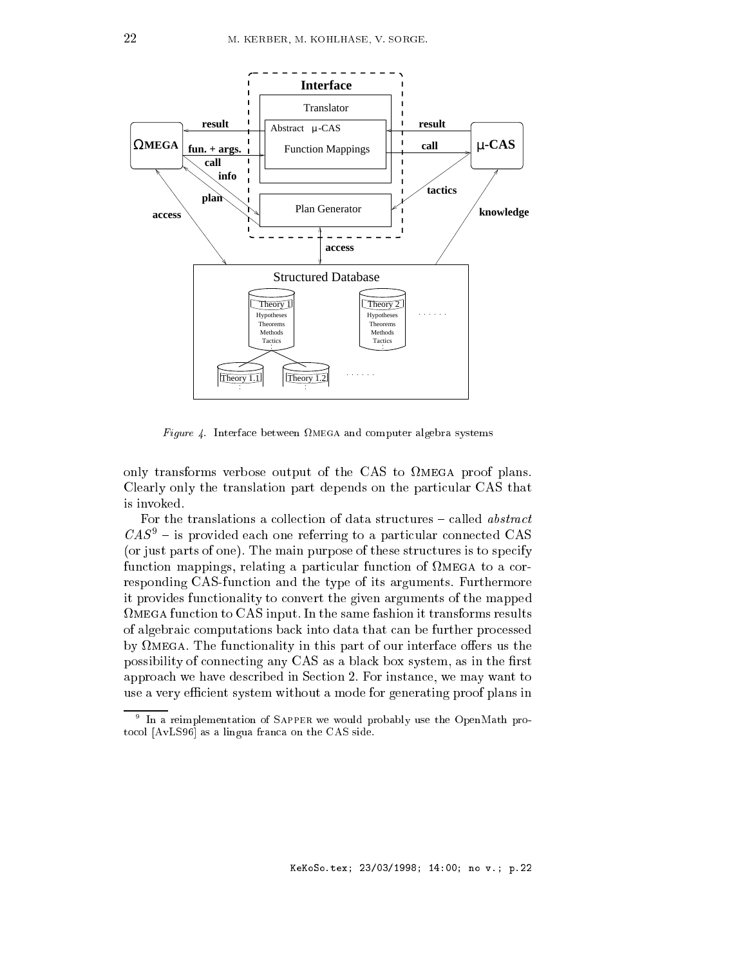

Figure 4. Interface between mega and computer algebra systems

only transforms verbose output of the CAS to mega proof plans. Clearly only the translation part depends on the particular CAS that is invoked.

For the translations a collection of data structures  $-$  called abstract  $CAS<sup>9</sup>$  – is provided each one referring to a particular connected CAS (or just parts of one). The main purpose of these structures is to specify function mappings, relating a particular function of mega to a corresponding CAS-function and the type of its arguments. Furthermore it provides functionality to convert the given arguments of the mapped mega function to CAS input. In the same fashion it transforms results of algebraic computations back into data that can be further processed by mega. The functionality in this part of our interface oers us the possibility of connecting any CAS as a black box system, as in the first approach we have described in Section 2. For instance, we may want to use a very efficient system without a mode for generating proof plans in

In a reimplementation of SAPPER we would probably use the OpenMath protocol [AvLS96] as a lingua franca on the CAS side.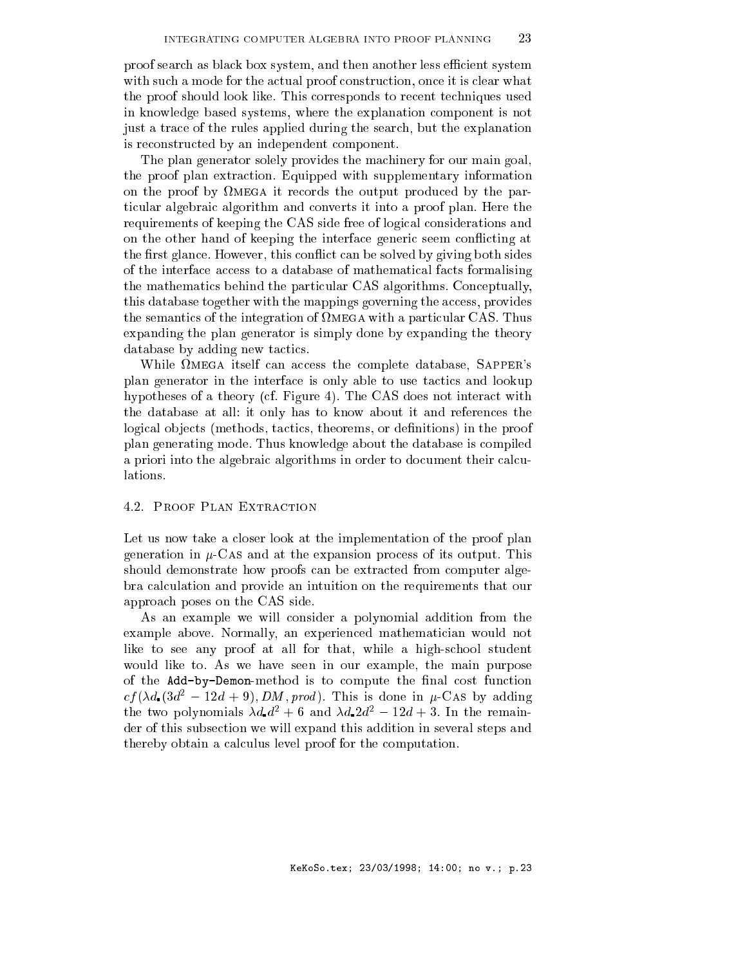proof search as black box system, and then another less efficient system with such a mode for the actual proof construction, once it is clear what the proof should look like. This corresponds to recent techniques used in knowledge based systems, where the explanation component is not just a trace of the rules applied during the search, but the explanation is reconstructed by an independent component.

The plan generator solely provides the machinery for our main goal, the proof plan extraction. Equipped with supplementary information on the proof by the proof by the para-box the output produced by the para-box the para-box the para-box the par ticular algebraic algorithm and converts it into a proof plan. Here the requirements of keeping the CAS side free of logical considerations and on the other hand of keeping the interface generic seem conflicting at the first glance. However, this conflict can be solved by giving both sides of the interface access to a database of mathematical facts formalising the mathematics behind the particular CAS algorithms. Conceptually, this database together with the mappings governing the access, provides the semantics of the integration of the integration of the integration of  $\mathbb{R}^n$ expanding the plan generator is simply done by expanding the theory database by adding new tactics.

While  $\Omega$ MEGA itself can access the complete database, SAPPER's plan generator in the interface is only able to use tactics and lookup hypotheses of a theory (cf. Figure 4). The CAS does not interact with the database at all: it only has to know about it and references the logical objects (methods, tactics, theorems, or definitions) in the proof plan generating mode. Thus knowledge about the database is compiled a priori into the algebraic algorithms in order to document their calculations.

#### 4.2. Proof Plan Extraction

Let us now take a closer look at the implementation of the proof plan generation in  $\mu$ -CAS and at the expansion process of its output. This should demonstrate how proofs can be extracted from computer algebra calculation and provide an intuition on the requirements that our approach poses on the CAS side.

As an example we will consider a polynomial addition from the example above. Normally, an experienced mathematician would not like to see any proof at all for that, while a high-school student would like to. As we have seen in our example, the main purpose of the Add-by-Demon-method is to compute the final cost function  $cf (\lambda d. (3d^2 - 12d + 9), DM, prod)$ . This is done in  $\mu$ -CAS by adding the two polynomials  $\lambda d_d^2 + 6$  and  $\lambda d_2^2 - 12d + 3$ . In the remainder of this subsection we will expand this addition in several steps and thereby obtain a calculus level proof for the computation.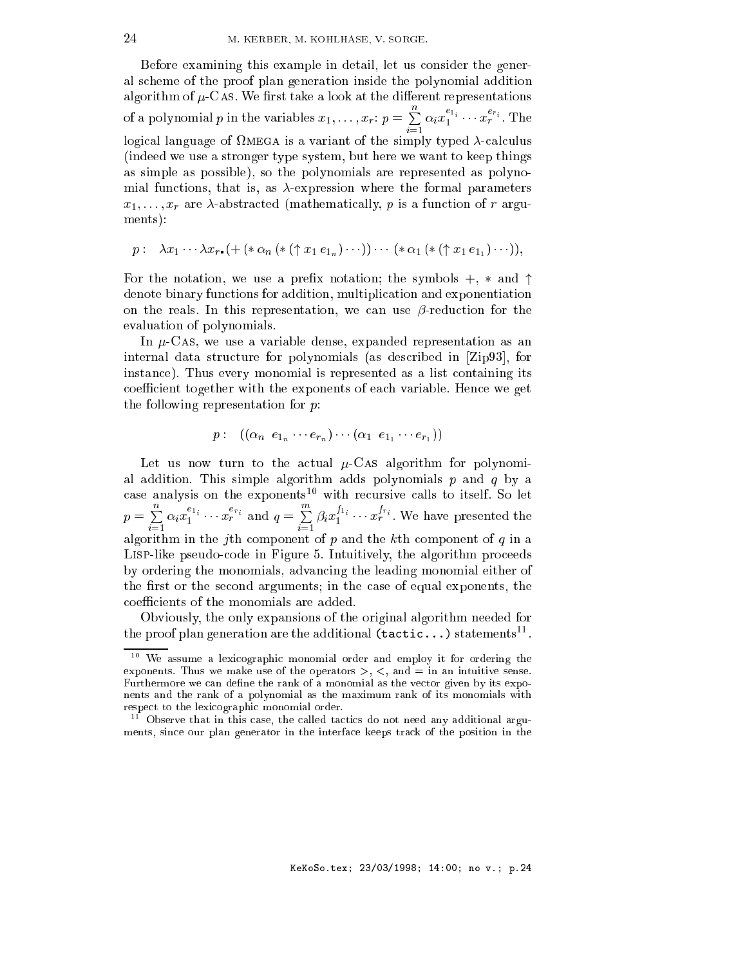Before examining this example in detail, let us consider the general scheme of the proof plan generation inside the polynomial addition algorithm of  $\mu$ -CAS. We first take a look at the different representations of a polynomial p in the variables  $x_1, \ldots, x_r : p = \sum_{i=1}^r \alpha_i x_1^{e_{1_i}} \cdots x_r^{e_{r_i}}$ . The logical language of mega is a variant of the simply typed -calculus (indeed we use a stronger type system, but here we want to keep things as simple as possible), so the polynomials are represented as polynomial functions, that is, as  $\lambda$ -expression where the formal parameters  $x_1, \ldots, x_r$  are  $\lambda$ -abstracted (mathematically, p is a function of r arguments):

$$
p: \quad \lambda x_1 \cdots \lambda x_r \cdot (+(*\alpha_n (*(\uparrow x_1 e_{1_n}) \cdots)) \cdots (* \alpha_1 (*(\uparrow x_1 e_{1_1}) \cdots)),
$$

For the notation, we use a prefix notation; the symbols  $+$ ,  $*$  and  $\uparrow$ denote binary functions for addition, multiplication and exponentiation on the reals. In this representation, we can use  $\beta$ -reduction for the evaluation of polynomials.

In  $\mu$ -Cas, we use a variable dense, expanded representation as an internal data structure for polynomials (as described in [Zip93], for instance). Thus every monomial is represented as a list containing its coefficient together with the exponents of each variable. Hence we get the following representation for p:

$$
p: ((\alpha_n \cdot e_{1_n} \cdots e_{r_n}) \cdots (\alpha_1 \cdot e_{1_1} \cdots e_{r_1}))
$$

Let us now turn to the actual  $\mu$ -CAS algorithm for polynomial addition. This simple algorithm adds polynomials  $p$  and  $q$  by a case analysis on the exponents<sup>10</sup> with recursive calls to itself. So let  $p = \sum$  $\sum_{i=1}^n \alpha_i x_1^{e_{1_i}} \cdots x_r^{e_{r_i}}$  and  $q = \sum_{i=1}^n \beta_i x_1^{J_{1_i}} \cdots x_r^{J_{r_i}}$ . We have presented the algorithm in the j<sup>th</sup> component of p and the k<sup>th</sup> component of q in a Lisp-like pseudo-code in Figure 5. Intuitively, the algorithm proceeds by ordering the monomials, advancing the leading monomial either of the first or the second arguments; in the case of equal exponents, the coefficients of the monomials are added.

Obviously, the only expansions of the original algorithm needed for the proof plan generation are the additional (tactic...) statements<sup>11</sup>.

 $\lq\lq$  we assume a lexicographic monomial order and employ it for ordering the exponents. Thus we make use of the operators  $> 0, 1, 2, \ldots$  and  $=$  in an intuitive sense. Furthermore we can define the rank of a monomial as the vector given by its exponents and the rank of a polynomial as the maximum rank of its monomials with respect to the lexicographic monomial order.

<sup>11</sup> Observe that in this case, the called tactics do not need any additional arguments, since our plan generator in the interface keeps track of the position in the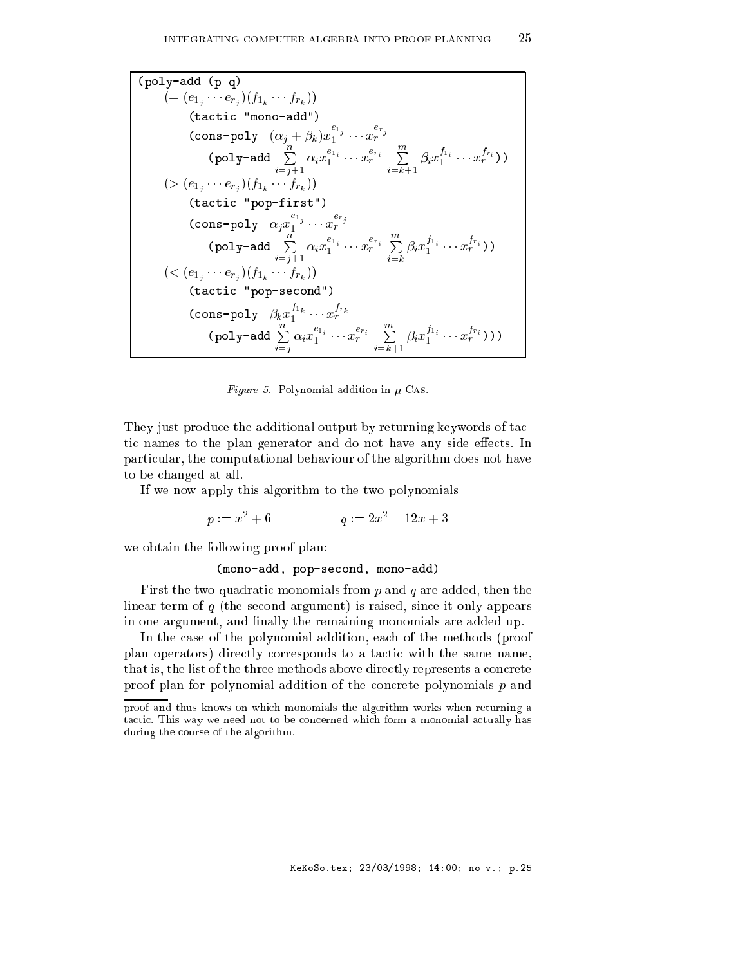$$
(poly-add (p q)\n (= (e1j...erj)(f1k...frk))\n (tactic "mono-add")\n (cons-poly (αj + βk)x1e1j...xrerj\n (poly-add  $\sum_{i=j+1}^{n} \alpha_i x_1^{e_{1i}} \cdots x_r^{e_{r_i}} \sum_{i=k+1}^{m} \beta_i x_1^{f_{1i}} \cdots x_r^{f_{r_i}}$ ))  
\n ( $(\geq e_{1j} \cdots e_{rj}) (f_{1k} \cdots f_{r_k})$ )  
\n (tactic "pop-first")  
\n (cons-poly  $\alpha_j x_1^{e_{1j}} \cdots x_r^{e_{rj}}$   
\n (poly-add  $\sum_{i=j+1}^{n} \alpha_i x_1^{e_{1i}} \cdots x_r^{e_{r_i}}$   $\sum_{i=k}^{m} \beta_i x_1^{f_{1i}} \cdots x_r^{f_{r_i}}$ ))  
\n ( $(\leq (e_{1j} \cdots e_{rj}) (f_{1k} \cdots f_{r_k})$ )  
\n (tactic "pop-second")  
\n (cons-poly  $\beta_k x_1^{f_{1k}} \cdots x_r^{f_{r_k}}$   
\n (poly-add  $\sum_{i=j}^{n} \alpha_i x_1^{e_{1i}} \cdots x_r^{e_{r_i}}$   $\sum_{i=k+1}^{m} \beta_i x_1^{f_{1i}} \cdots x_r^{f_{r_i}}$ ))
$$

Figure 5. Polynomial addition in  $\mu$ -Cas.

They just produce the additional output by returning keywords of tactic names to the plan generator and do not have any side effects. In particular, the computational behaviour of the algorithm does not have to be changed at all.

If we now apply this algorithm to the two polynomials

$$
p := x^2 + 6 \qquad \qquad q := 2x^2 - 12x + 3
$$

we obtain the following proof plan:

(mono-add, pop-second, mono-add)

First the two quadratic monomials from  $p$  and  $q$  are added, then the linear term of  $q$  (the second argument) is raised, since it only appears in one argument, and finally the remaining monomials are added up.

In the case of the polynomial addition, each of the methods (proof plan operators) directly corresponds to a tactic with the same name, that is, the list of the three methods above directly represents a concrete proof plan for polynomial addition of the concrete polynomials <sup>p</sup> and

proof and thus knows on which monomials the algorithm works when returning a tactic. This way we need not to be concerned which form a monomial actually has during the course of the algorithm.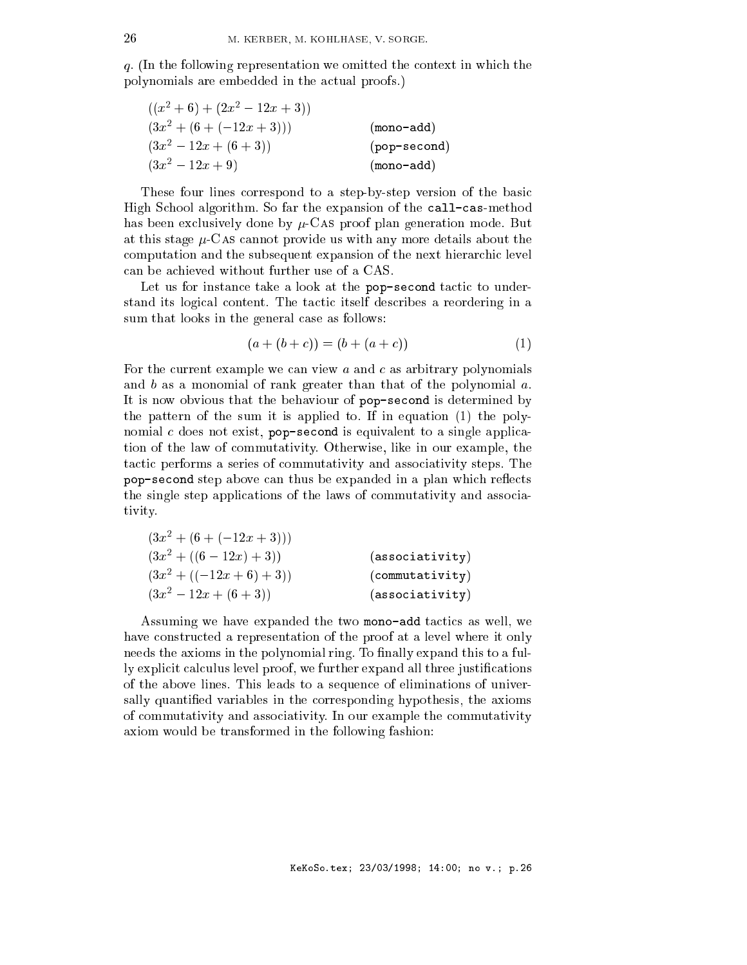q. (In the following representation we omitted the context in which the polynomials are embedded in the actual proofs.)

$$
((x^{2} + 6) + (2x^{2} - 12x + 3))
$$
  
\n $(3x^{2} + (6 + (-12x + 3)))$  (mono-add)  
\n $(3x^{2} - 12x + (6 + 3))$  (pop-second)  
\n $(3x^{2} - 12x + 9)$  (mono-add)

These four lines correspond to a step-by-step version of the basic High School algorithm. So far the expansion of the call-cas-method has been exclusively done by  $\mu$ -CAS proof plan generation mode. But at this stage  $\mu$ -CAS cannot provide us with any more details about the computation and the subsequent expansion of the next hierarchic level can be achieved without further use of a CAS.

Let us for instance take a look at the pop-second tactic to understand its logical content. The tactic itself describes a reordering in a sum that looks in the general case as follows:

$$
(a + (b + c)) = (b + (a + c))
$$
 (1)

For the current example we can view  $a$  and  $c$  as arbitrary polynomials and <sup>b</sup> as a monomial of rank greater than that of the polynomial a. It is now obvious that the behaviour of pop-second is determined by the pattern of the sum it is applied to. If in equation (1) the polynomial  $c$  does not exist, pop-second is equivalent to a single application of the law of commutativity. Otherwise, like in our example, the tactic performs a series of commutativity and associativity steps. The pop-second step above can thus be expanded in a plan which reflects the single step applications of the laws of commutativity and associativity.

| $(3x^2 + (6 + (-12x + 3)))$ |                 |
|-----------------------------|-----------------|
| $(3x^2 + ((6 - 12x) + 3))$  | (associativity) |
| $(3x^2 + ((-12x+6) + 3))$   | (commutativity) |
| $(3x^2-12x+(6+3))$          | (associativity) |

Assuming we have expanded the two mono-add tactics as well, we have constructed a representation of the proof at a level where it only needs the axioms in the polynomial ring. To finally expand this to a fully explicit calculus level proof, we further expand all three justications of the above lines. This leads to a sequence of eliminations of universally quantied variables in the corresponding hypothesis, the axioms of commutativity and associativity. In our example the commutativity axiom would be transformed in the following fashion: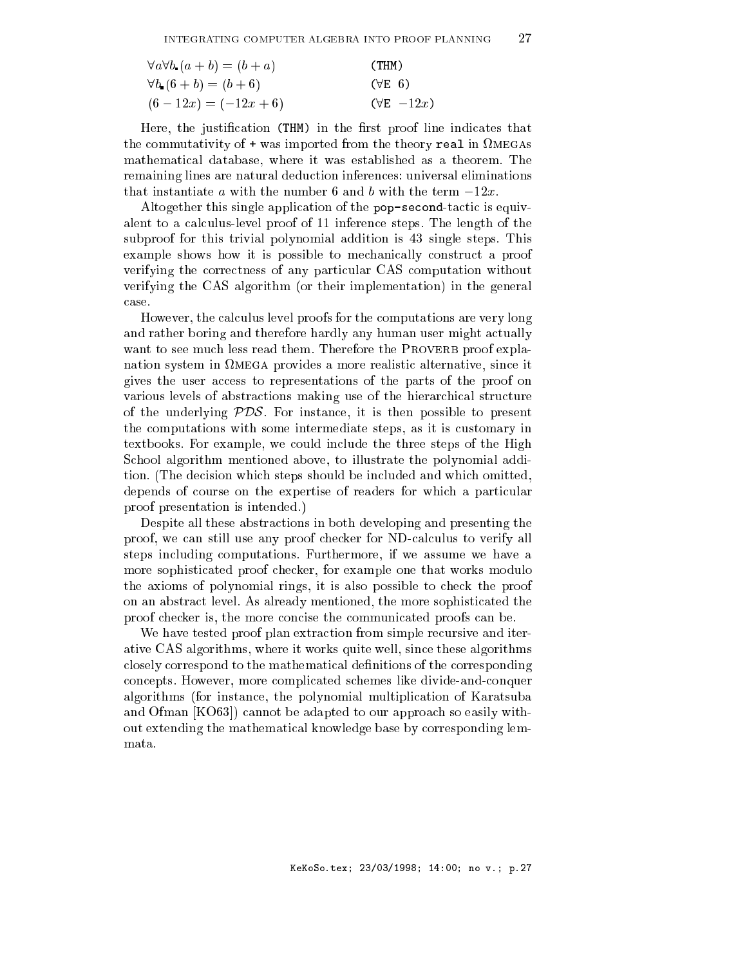| $\forall a \forall b \ (a+b) = (b+a)$ | (THM)               |
|---------------------------------------|---------------------|
| $\forall b. (6 + b) = (b + 6)$        | $(\forall E \ \ 6)$ |
| $(6-12x) = (-12x+6)$                  | $(\forall E -12x)$  |

Here, the justification (THM) in the first proof line indicates that the commutativity of  $+$  was imported from the theory real in  $\Omega$ MEGAs mathematical database, where it was established as a theorem. The remaining lines are natural deduction inferences: universal eliminations that instantiate a with the number 6 and b with the term  $-12x$ .

Altogether this single application of the pop-second-tactic is equivalent to a calculus-level proof of 11 inference steps. The length of the subproof for this trivial polynomial addition is 43 single steps. This example shows how it is possible to mechanically construct a proof verifying the correctness of any particular CAS computation without verifying the CAS algorithm (or their implementation) in the general case.

However, the calculus level proofs for the computations are very long and rather boring and therefore hardly any human user might actually want to see much less read them. Therefore the PROVERB proof explanation system in mega provides a more realistic alternative, since it gives the user access to representations of the parts of the proof on various levels of abstractions making use of the hierarchical structure of the underlying  $PDS$ . For instance, it is then possible to present the computations with some intermediate steps, as it is customary in textbooks. For example, we could include the three steps of the High School algorithm mentioned above, to illustrate the polynomial addition. (The decision which steps should be included and which omitted, depends of course on the expertise of readers for which a particular proof presentation is intended.)

Despite all these abstractions in both developing and presenting the proof, we can still use any proof checker for ND-calculus to verify all steps including computations. Furthermore, if we assume we have a more sophisticated proof checker, for example one that works modulo the axioms of polynomial rings, it is also possible to check the proof on an abstract level. As already mentioned, the more sophisticated the proof checker is, the more concise the communicated proofs can be.

We have tested proof plan extraction from simple recursive and iterative CAS algorithms, where it works quite well, since these algorithms closely correspond to the mathematical definitions of the corresponding concepts. However, more complicated schemes like divide-and-conquer algorithms (for instance, the polynomial multiplication of Karatsuba and Ofman [KO63]) cannot be adapted to our approach so easily without extending the mathematical knowledge base by corresponding lemmata.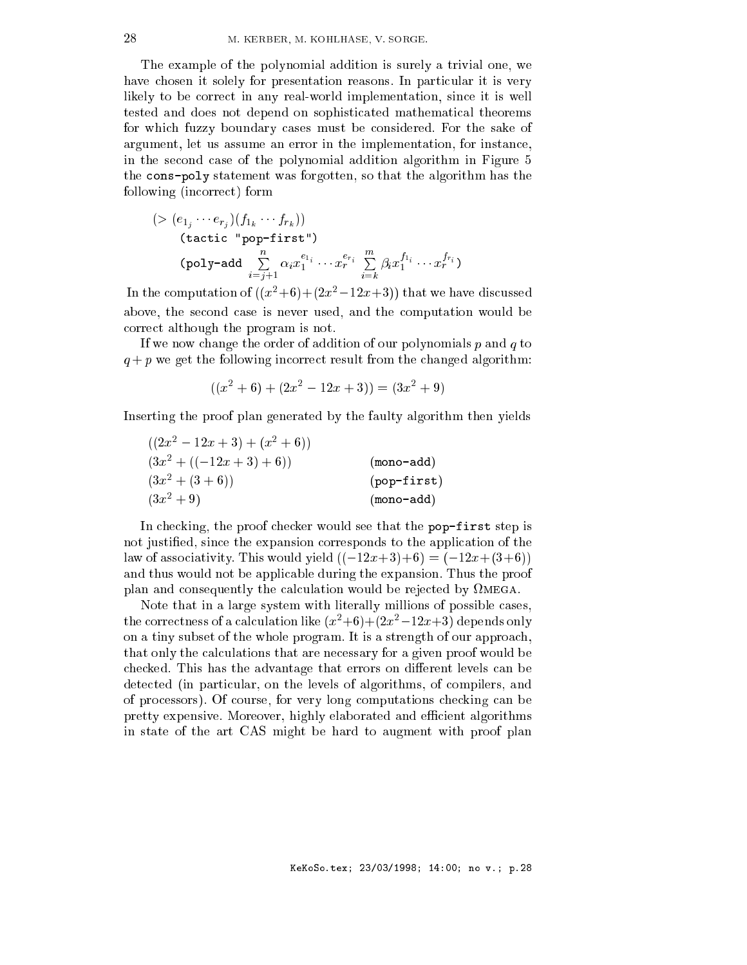The example of the polynomial addition is surely a trivial one, we have chosen it solely for presentation reasons. In particular it is very likely to be correct in any real-world implementation, since it is well tested and does not depend on sophisticated mathematical theorems for which fuzzy boundary cases must be considered. For the sake of argument, let us assume an error in the implementation, for instance, in the second case of the polynomial addition algorithm in Figure 5 the cons-poly statement was forgotten, so that the algorithm has the following (incorrect) form

$$
\begin{array}{l}\n(\gt(e_{1_j}\cdots e_{r_j})(f_{1_k}\cdots f_{r_k})) \\
(\text{tactic "pop-first")} \\
(\text{poly-add}\sum_{i=j+1}^n \alpha_i x_1^{e_{1_i}}\cdots x_r^{e_{r_i}}\sum_{i=k}^m \beta_i x_1^{f_{1_i}}\cdots x_r^{f_{r_i}})\n\end{array}
$$

In the computation of  $((x^2+6)+(2x^2-12x+3))$  that we have discussed above, the second case is never used, and the computation would be correct although the program is not.

If we now change the order of addition of our polynomials  $p$  and  $q$  to  $q + p$  we get the following incorrect result from the changed algorithm:

$$
((x2 + 6) + (2x2 - 12x + 3)) = (3x2 + 9)
$$

Inserting the proof plan generated by the faulty algorithm then yields

$$
((2x^2 - 12x + 3) + (x^2 + 6))
$$
  
\n $(3x^2 + ((-12x + 3) + 6))$  (mono-add)  
\n $(3x^2 + (3 + 6))$  (pop-first)  
\n $(3x^2 + 9)$  (mono-add)

In checking, the proof checker would see that the **pop-first** step is not justied, since the expansion corresponds to the application of the law of associativity. This would yield  $((-12x+3)+6) = (-12x+(3+6))$ and thus would not be applicable during the expansion. Thus the proof plan and consequently the calculation would be rejected by mega.

Note that in a large system with literally millions of possible cases, the correctness of a calculation like  $(x^2+6)+(2x^2-12x+3)$  depends only on a tiny subset of the whole program. It is a strength of our approach, that only the calculations that are necessary for a given proof would be checked. This has the advantage that errors on different levels can be detected (in particular, on the levels of algorithms, of compilers, and of processors). Of course, for very long computations checking can be pretty expensive. Moreover, highly elaborated and efficient algorithms in state of the art CAS might be hard to augment with proof plan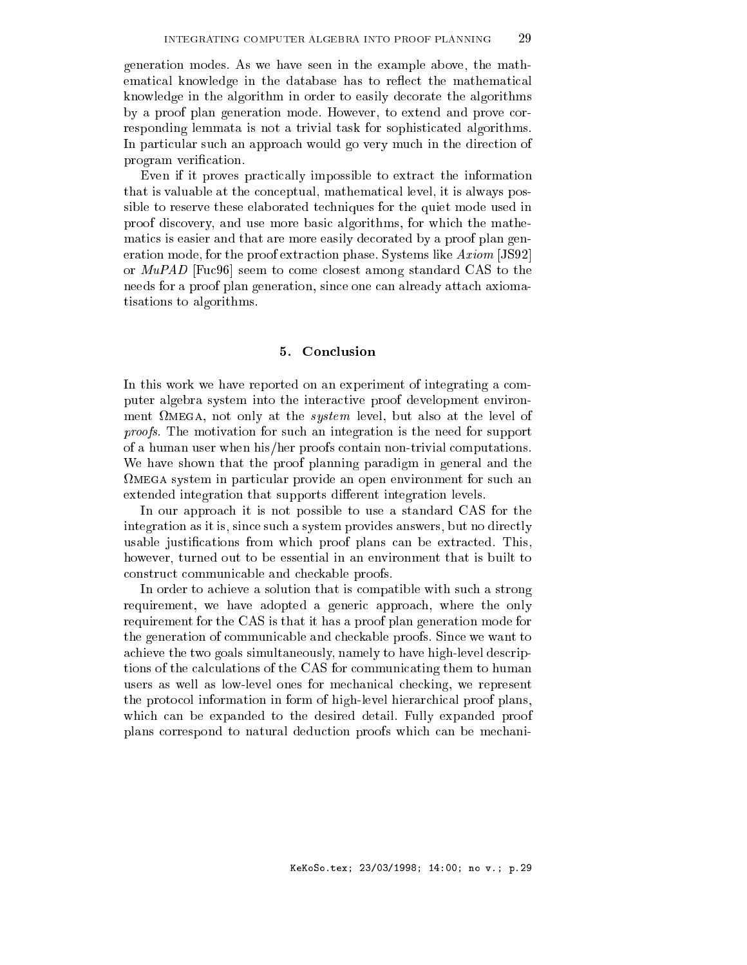generation modes. As we have seen in the example above, the mathematical knowledge in the database has to reflect the mathematical knowledge in the algorithm in order to easily decorate the algorithms by a proof plan generation mode. However, to extend and prove corresponding lemmata is not a trivial task for sophisticated algorithms. In particular such an approach would go very much in the direction of program verification.

Even if it proves practically impossible to extract the information that is valuable at the conceptual, mathematical level, it is always possible to reserve these elaborated techniques for the quiet mode used in proof discovery, and use more basic algorithms, for which the mathematics is easier and that are more easily decorated by a proof plan generation mode, for the proof extraction phase. Systems like Axiom [JS92] or MuPAD [Fuc96] seem to come closest among standard CAS to the needs for a proof plan generation, since one can already attach axiomatisations to algorithms.

#### $5<sub>1</sub>$ Conclusion

In this work we have reported on an experiment of integrating a computer algebra system into the interactive proof development environment mega, not only at the system level, but also at the level of proofs. The motivation for such an integration is the need for support of a human user when his/her proofs contain non-trivial computations. We have shown that the proof planning paradigm in general and the mega system in particular provide an open environment for such an extended integration that supports different integration levels.

In our approach it is not possible to use a standard CAS for the integration as it is, since such a system provides answers, but no directly usable justications from which proof plans can be extracted. This, however, turned out to be essential in an environment that is built to construct communicable and checkable proofs.

In order to achieve a solution that is compatible with such a strong requirement, we have adopted a generic approach, where the only requirement for the CAS is that it has a proof plan generation mode for the generation of communicable and checkable proofs. Since we want to achieve the two goals simultaneously, namely to have high-level descriptions of the calculations of the CAS for communicating them to human users as well as low-level ones for mechanical checking, we represent the protocol information in form of high-level hierarchical proof plans, which can be expanded to the desired detail. Fully expanded proof plans correspond to natural deduction proofs which can be mechani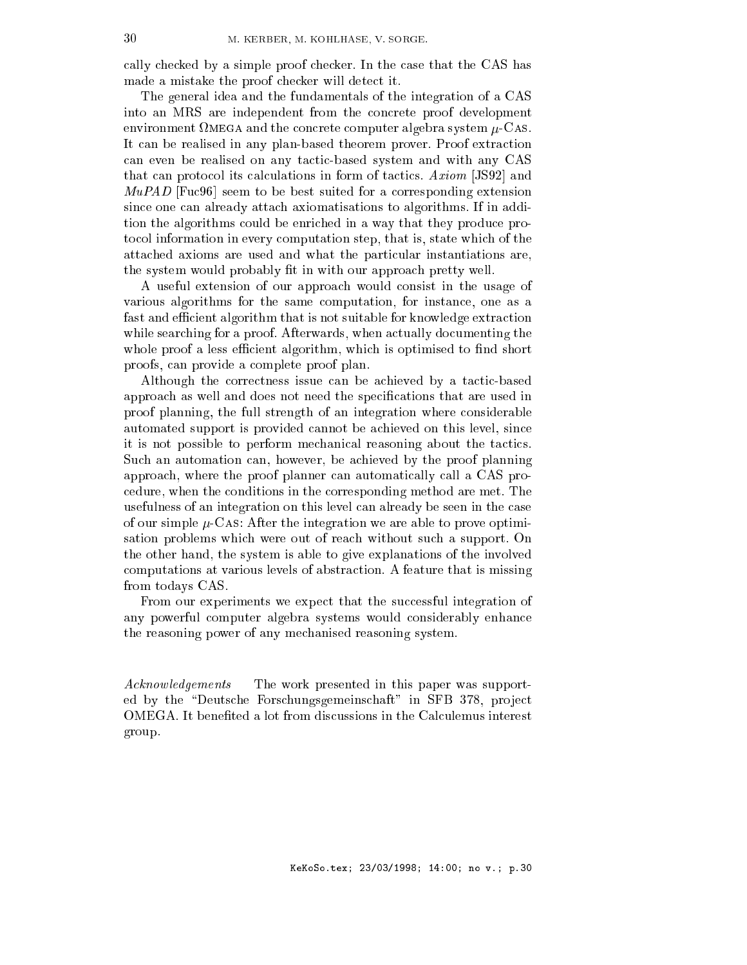cally checked by a simple proof checker. In the case that the CAS has made a mistake the proof checker will detect it.

The general idea and the fundamentals of the integration of a CAS into an MRS are independent from the concrete proof development environment mega and the concrete computer algebra system -Cas. It can be realised in any plan-based theorem prover. Proof extraction can even be realised on any tactic-based system and with any CAS that can protocol its calculations in form of tactics. Axiom [JS92] and MuPAD [Fuc96] seem to be best suited for a corresponding extension since one can already attach axiomatisations to algorithms. If in addition the algorithms could be enriched in a way that they produce protocol information in every computation step, that is, state which of the attached axioms are used and what the particular instantiations are, the system would probably fit in with our approach pretty well.

A useful extension of our approach would consist in the usage of various algorithms for the same computation, for instance, one as a fast and efficient algorithm that is not suitable for knowledge extraction while searching for a proof. Afterwards, when actually documenting the whole proof a less efficient algorithm, which is optimised to find short proofs, can provide a complete proof plan.

Although the correctness issue can be achieved by a tactic-based approach as well and does not need the specications that are used in proof planning, the full strength of an integration where considerable automated support is provided cannot be achieved on this level, since it is not possible to perform mechanical reasoning about the tactics. Such an automation can, however, be achieved by the proof planning approach, where the proof planner can automatically call a CAS procedure, when the conditions in the corresponding method are met. The usefulness of an integration on this level can already be seen in the case of our simple  $\mu$ -Cas: After the integration we are able to prove optimisation problems which were out of reach without such a support. On the other hand, the system is able to give explanations of the involved computations at various levels of abstraction. A feature that is missing from todays CAS.

From our experiments we expect that the successful integration of any powerful computer algebra systems would considerably enhance the reasoning power of any mechanised reasoning system.

Acknowledgements The work presented in this paper was supported by the "Deutsche Forschungsgemeinschaft" in SFB 378, project OMEGA. It benefited a lot from discussions in the Calculemus interest group.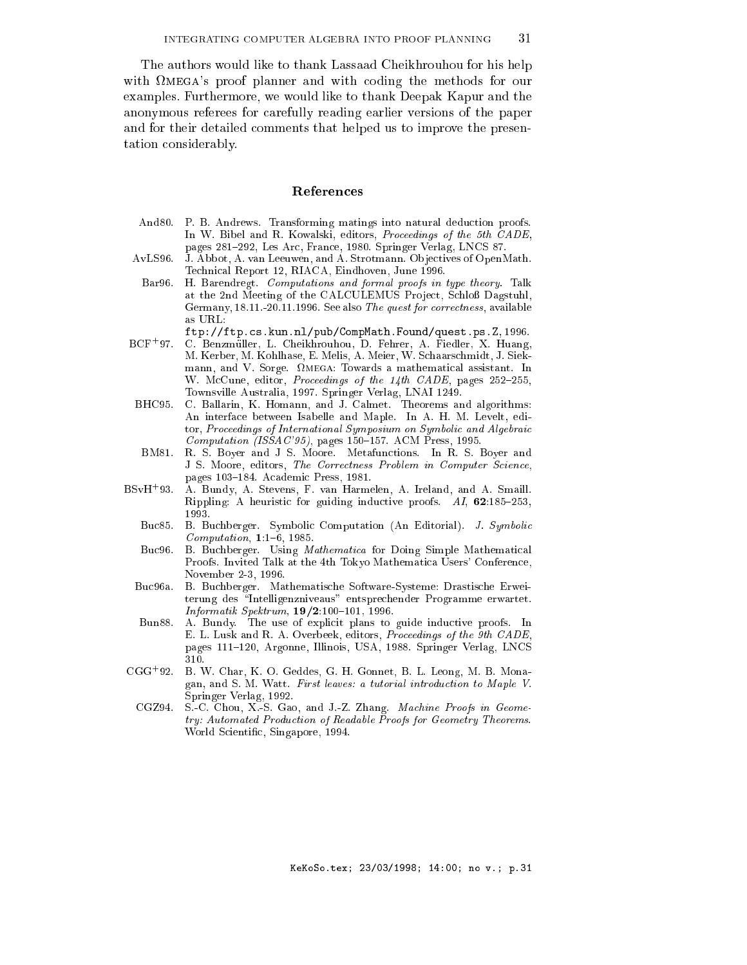The authors would like to thank Lassaad Cheikhrouhou for his help with  $\Omega$ MEGA's proof planner and with coding the methods for our examples. Furthermore, we would like to thank Deepak Kapur and the anonymous referees for carefully reading earlier versions of the paper and for their detailed comments that helped us to improve the presentation considerably.

#### References

- And80. P. B. Andrews. Transforming matings into natural deduction proofs. In W. Bibel and R. Kowalski, editors, Proceedings of the 5th CADE, pages 281-292, Les Arc, France, 1980. Springer Verlag, LNCS 87.
- $AvLS96.$ J. Abbot, A. van Leeuwen, and A. Strotmann. Objectives of OpenMath. Technical Report 12, RIACA, Eindhoven, June 1996.
	- Bar96. H. Barendregt. Computations and formal proofs in type theory. Talk at the 2nd Meeting of the CALCULEMUS Project, Schloß Dagstuhl, Germany, 18.11.-20.11.1996. See also The quest for correctness, available as URL:

ftp://ftp.cs.kun.nl/pub/CompMath.Found/quest.ps.Z, 1996.

- $BCF+97.$ C. Benzmüller, L. Cheikhrouhou, D. Fehrer, A. Fiedler, X. Huang, M. Kerber, M. Kohlhase, E. Melis, A. Meier, W. Schaarschmidt, J. Siekmann, and V. Sorge. mega: Towards a mathematical assistant. In W. McCune, editor, Proceedings of the 14th CADE, pages 252-255, Townsville Australia, 1997. Springer Verlag, LNAI 1249.
- BHC95. C. Ballarin, K. Homann, and J. Calmet. Theorems and algorithms: An interface between Isabelle and Maple. In A. H. M. Levelt, editor, Proceedings of International Symposium on Symbolic and Algebraic  $Computation$  (ISSAC'95), pages 150-157. ACM Press, 1995.
- BM81. R. S. Boyer and J S. Moore. Metafunctions. In R. S. Boyer and J S. Moore, editors, The Correctness Problem in Computer Science, pages 103-184. Academic Press, 1981.
- $BSvH+93$ . 93. A. Bundy, A. Stevens, F. van Harmelen, A. Ireland, and A. Smaill. Rippling: A heuristic for guiding inductive proofs.  $AI$ , 62:185-253, 1993.
	- Buc85. B. Buchberger. Symbolic Computation (An Editorial). J. Symbolic  $Computation, 1:1-6, 1985.$
	- Buc96. B. Buchberger. Using Mathematica for Doing Simple Mathematical Proofs. Invited Talk at the 4th Tokyo Mathematica Users' Conference, November 2-3, 1996.
	- Buc96a. B. Buchberger. Mathematische Software-Systeme: Drastische Erweiterung des \Intelligenzniveaus" entsprechender Programme erwartet.  $Information of the *Spektrum*, 19/2:100–101, 1996.$
	- Bun88. A. Bundy. The use of explicit plans to guide inductive proofs. In E. L. Lusk and R. A. Overbeek, editors, Proceedings of the 9th CADE, pages 111-120, Argonne, Illinois, USA, 1988. Springer Verlag, LNCS  $310.$
- $CGG+92.$ 92. B. W. Char, K. O. Geddes, G. H. Gonnet, B. L. Leong, M. B. Monagan, and S. M. Watt. First leaves: a tutorial introduction to Maple V. Springer Verlag, 1992.
	- CGZ94. S.-C. Chou, X.-S. Gao, and J.-Z. Zhang. Machine Proofs in Geometry: Automated Production of Readable Proofs for Geometry Theorems. World Scientic, Singapore, 1994.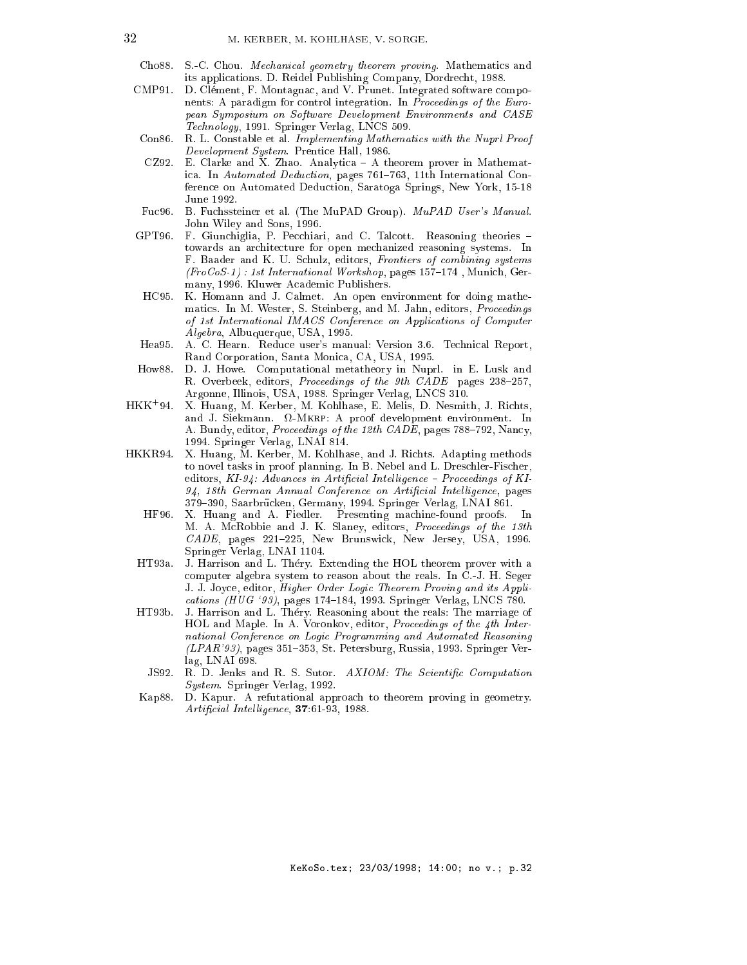- $Cho88.$ S.-C. Chou. Mechanical geometry theorem proving. Mathematics and its applications. D. Reidel Publishing Company, Dordrecht, 1988.
- CMP91. D. Clément, F. Montagnac, and V. Prunet. Integrated software components: A paradigm for control integration. In Proceedings of the European Symposium on Software Development Environments and CASE Technology, 1991. Springer Verlag, LNCS 509.
- Con86. R. L. Constable et al. Implementing Mathematics with the Nuprl Proof Development System. Prentice Hall, 1986.
- CZ92. E. Clarke and X. Zhao. Analytica  $-$  A theorem prover in Mathematica. In Automated Deduction, pages 761-763, 11th International Conference on Automated Deduction, Saratoga Springs, New York, 15-18 June 1992.
- Fuc96. B. Fuchssteiner et al. (The MuPAD Group). MuPAD User's Manual. John Wiley and Sons, 1996.
- GPT96. F. Giunchiglia, P. Pecchiari, and C. Talcott. Reasoning theories towards an architecture for open mechanized reasoning systems. In F. Baader and K. U. Schulz, editors, Frontiers of combining systems  $(FroCoS-1)$ : 1st International Workshop, pages 157-174, Munich, Germany, 1996. Kluwer Academic Publishers.
- HC95. K. Homann and J. Calmet. An open environment for doing mathematics. In M. Wester, S. Steinberg, and M. Jahn, editors, Proceedings of 1st International IMACS Conference on Applications of Computer Algebra, Albuquerque, USA, 1995.
- Hea95. A. C. Hearn. Reduce user's manual: Version 3.6. Technical Report, Rand Corporation, Santa Monica, CA, USA, 1995.
- How88. D. J. Howe. Computational metatheory in Nuprl. in E. Lusk and R. Overbeek, editors, Proceedings of the 9th CADE pages 238-257, Argonne, Illinois, USA, 1988. Springer Verlag, LNCS 310.
- $HKK^+94.$ 94. X. Huang, M. Kerber, M. Kohlhase, E. Melis, D. Nesmith, J. Richts, -man J. Siekmann. In dienen is de proof de verlopment en vironment. In A. Bundy, editor, *Proceedings of the 12th CADE*, pages 788-792, Nancy, 1994. Springer Verlag, LNAI 814.
- HKKR94. X. Huang, M. Kerber, M. Kohlhase, and J. Richts. Adapting methods to novel tasks in proof planning. In B. Nebel and L. Dreschler-Fischer, editors,  $KI$ -94: Advances in Artificial Intelligence - Proceedings of KI-94, 18th German Annual Conference on Artificial Intelligence, pages 379-390, Saarbrücken, Germany, 1994. Springer Verlag, LNAI 861.
	- HF96. X. Huang and A. Fiedler. Presenting machine-found proofs. In M. A. McRobbie and J. K. Slaney, editors, Proceedings of the 13th  $CADE$ , pages  $221-225$ , New Brunswick, New Jersey, USA, 1996. Springer Verlag, LNAI 1104.
	- HT93a. J. Harrison and L. Théry. Extending the HOL theorem prover with a computer algebra system to reason about the reals. In C.-J. H. Seger J. J. Joyce, editor, Higher Order Logic Theorem Proving and its Applications (HUG  $'93$ ), pages 174-184, 1993. Springer Verlag, LNCS 780.
	- HT93b. J. Harrison and L. Thery. Reasoning about the reals: The marriage of HOL and Maple. In A. Voronkov, editor, Proceedings of the 4th International Conference on Logic Programming and Automated Reasoning  $(LPAR'93)$ , pages 351-353, St. Petersburg, Russia, 1993. Springer Verlag, LNAI 698.
	- $JS92.$ R. D. Jenks and R. S. Sutor. AXIOM: The Scientific Computation System. Springer Verlag, 1992.
	- Kap88. D. Kapur. A refutational approach to theorem proving in geometry.  $Artificial Intelligence, 37:61-93, 1988.$